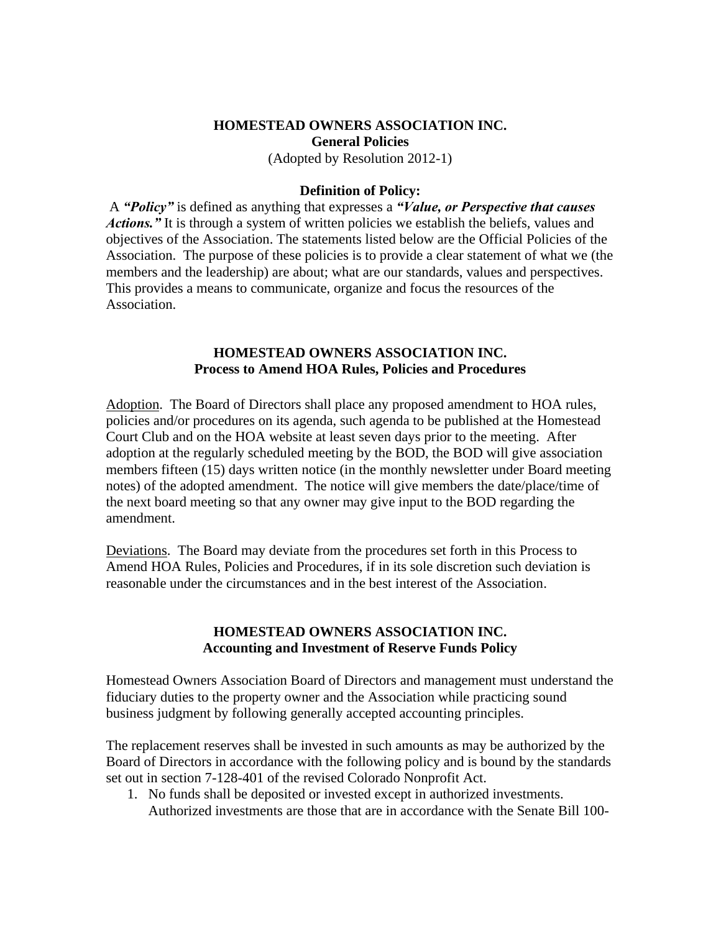# **HOMESTEAD OWNERS ASSOCIATION INC. General Policies**

(Adopted by Resolution 2012-1)

#### **Definition of Policy:**

A *"Policy"* is defined as anything that expresses a *"Value, or Perspective that causes Actions.*" It is through a system of written policies we establish the beliefs, values and objectives of the Association. The statements listed below are the Official Policies of the Association. The purpose of these policies is to provide a clear statement of what we (the members and the leadership) are about; what are our standards, values and perspectives. This provides a means to communicate, organize and focus the resources of the Association.

#### **HOMESTEAD OWNERS ASSOCIATION INC. Process to Amend HOA Rules, Policies and Procedures**

Adoption. The Board of Directors shall place any proposed amendment to HOA rules, policies and/or procedures on its agenda, such agenda to be published at the Homestead Court Club and on the HOA website at least seven days prior to the meeting. After adoption at the regularly scheduled meeting by the BOD, the BOD will give association members fifteen (15) days written notice (in the monthly newsletter under Board meeting notes) of the adopted amendment. The notice will give members the date/place/time of the next board meeting so that any owner may give input to the BOD regarding the amendment.

Deviations. The Board may deviate from the procedures set forth in this Process to Amend HOA Rules, Policies and Procedures, if in its sole discretion such deviation is reasonable under the circumstances and in the best interest of the Association.

### **HOMESTEAD OWNERS ASSOCIATION INC. Accounting and Investment of Reserve Funds Policy**

Homestead Owners Association Board of Directors and management must understand the fiduciary duties to the property owner and the Association while practicing sound business judgment by following generally accepted accounting principles.

The replacement reserves shall be invested in such amounts as may be authorized by the Board of Directors in accordance with the following policy and is bound by the standards set out in section 7-128-401 of the revised Colorado Nonprofit Act.

1. No funds shall be deposited or invested except in authorized investments. Authorized investments are those that are in accordance with the Senate Bill 100-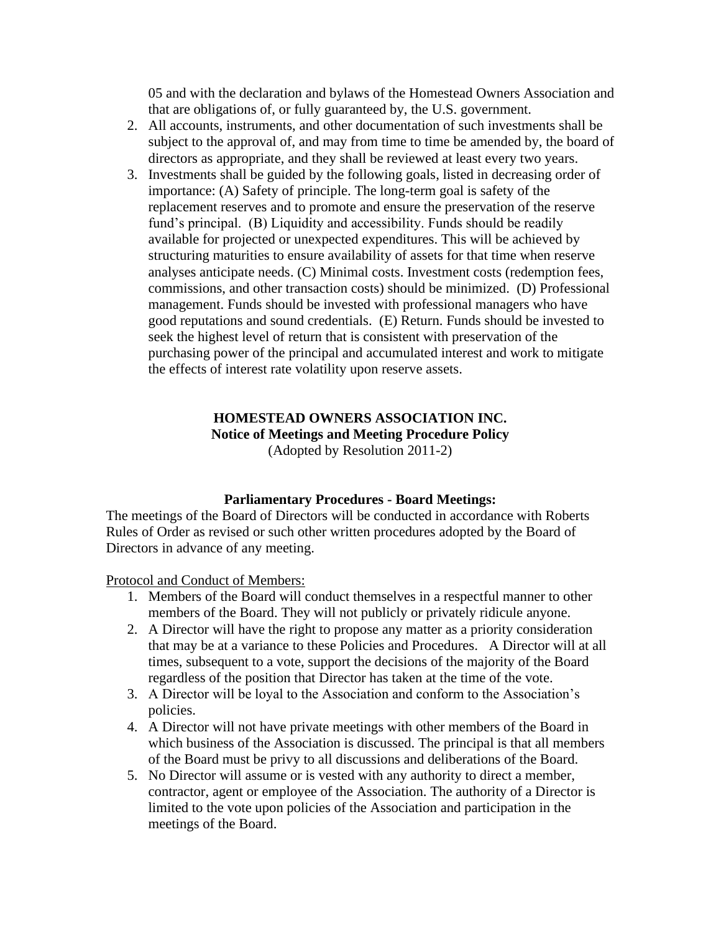05 and with the declaration and bylaws of the Homestead Owners Association and that are obligations of, or fully guaranteed by, the U.S. government.

- 2. All accounts, instruments, and other documentation of such investments shall be subject to the approval of, and may from time to time be amended by, the board of directors as appropriate, and they shall be reviewed at least every two years.
- 3. Investments shall be guided by the following goals, listed in decreasing order of importance: (A) Safety of principle. The long-term goal is safety of the replacement reserves and to promote and ensure the preservation of the reserve fund's principal. (B) Liquidity and accessibility. Funds should be readily available for projected or unexpected expenditures. This will be achieved by structuring maturities to ensure availability of assets for that time when reserve analyses anticipate needs. (C) Minimal costs. Investment costs (redemption fees, commissions, and other transaction costs) should be minimized. (D) Professional management. Funds should be invested with professional managers who have good reputations and sound credentials. (E) Return. Funds should be invested to seek the highest level of return that is consistent with preservation of the purchasing power of the principal and accumulated interest and work to mitigate the effects of interest rate volatility upon reserve assets.

### **HOMESTEAD OWNERS ASSOCIATION INC. Notice of Meetings and Meeting Procedure Policy** (Adopted by Resolution 2011-2)

## **Parliamentary Procedures - Board Meetings:**

The meetings of the Board of Directors will be conducted in accordance with Roberts Rules of Order as revised or such other written procedures adopted by the Board of Directors in advance of any meeting.

Protocol and Conduct of Members:

- 1. Members of the Board will conduct themselves in a respectful manner to other members of the Board. They will not publicly or privately ridicule anyone.
- 2. A Director will have the right to propose any matter as a priority consideration that may be at a variance to these Policies and Procedures. A Director will at all times, subsequent to a vote, support the decisions of the majority of the Board regardless of the position that Director has taken at the time of the vote.
- 3. A Director will be loyal to the Association and conform to the Association's policies.
- 4. A Director will not have private meetings with other members of the Board in which business of the Association is discussed. The principal is that all members of the Board must be privy to all discussions and deliberations of the Board.
- 5. No Director will assume or is vested with any authority to direct a member, contractor, agent or employee of the Association. The authority of a Director is limited to the vote upon policies of the Association and participation in the meetings of the Board.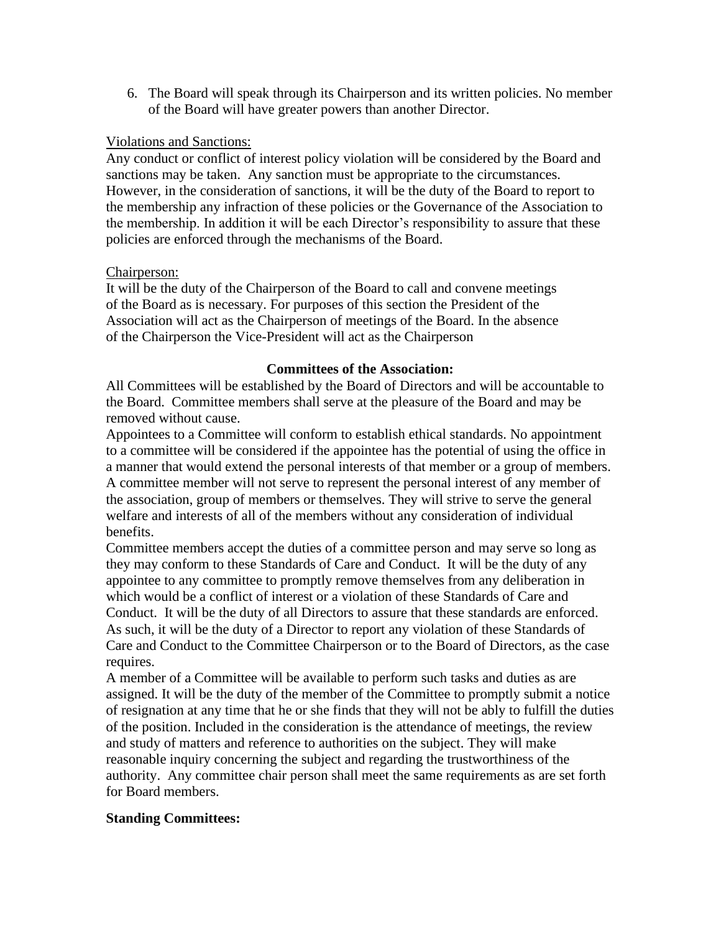6. The Board will speak through its Chairperson and its written policies. No member of the Board will have greater powers than another Director.

### Violations and Sanctions:

Any conduct or conflict of interest policy violation will be considered by the Board and sanctions may be taken. Any sanction must be appropriate to the circumstances. However, in the consideration of sanctions, it will be the duty of the Board to report to the membership any infraction of these policies or the Governance of the Association to the membership. In addition it will be each Director's responsibility to assure that these policies are enforced through the mechanisms of the Board.

### Chairperson:

It will be the duty of the Chairperson of the Board to call and convene meetings of the Board as is necessary. For purposes of this section the President of the Association will act as the Chairperson of meetings of the Board. In the absence of the Chairperson the Vice-President will act as the Chairperson

#### **Committees of the Association:**

All Committees will be established by the Board of Directors and will be accountable to the Board. Committee members shall serve at the pleasure of the Board and may be removed without cause.

Appointees to a Committee will conform to establish ethical standards. No appointment to a committee will be considered if the appointee has the potential of using the office in a manner that would extend the personal interests of that member or a group of members. A committee member will not serve to represent the personal interest of any member of the association, group of members or themselves. They will strive to serve the general welfare and interests of all of the members without any consideration of individual benefits.

Committee members accept the duties of a committee person and may serve so long as they may conform to these Standards of Care and Conduct. It will be the duty of any appointee to any committee to promptly remove themselves from any deliberation in which would be a conflict of interest or a violation of these Standards of Care and Conduct. It will be the duty of all Directors to assure that these standards are enforced. As such, it will be the duty of a Director to report any violation of these Standards of Care and Conduct to the Committee Chairperson or to the Board of Directors, as the case requires.

A member of a Committee will be available to perform such tasks and duties as are assigned. It will be the duty of the member of the Committee to promptly submit a notice of resignation at any time that he or she finds that they will not be ably to fulfill the duties of the position. Included in the consideration is the attendance of meetings, the review and study of matters and reference to authorities on the subject. They will make reasonable inquiry concerning the subject and regarding the trustworthiness of the authority. Any committee chair person shall meet the same requirements as are set forth for Board members.

## **Standing Committees:**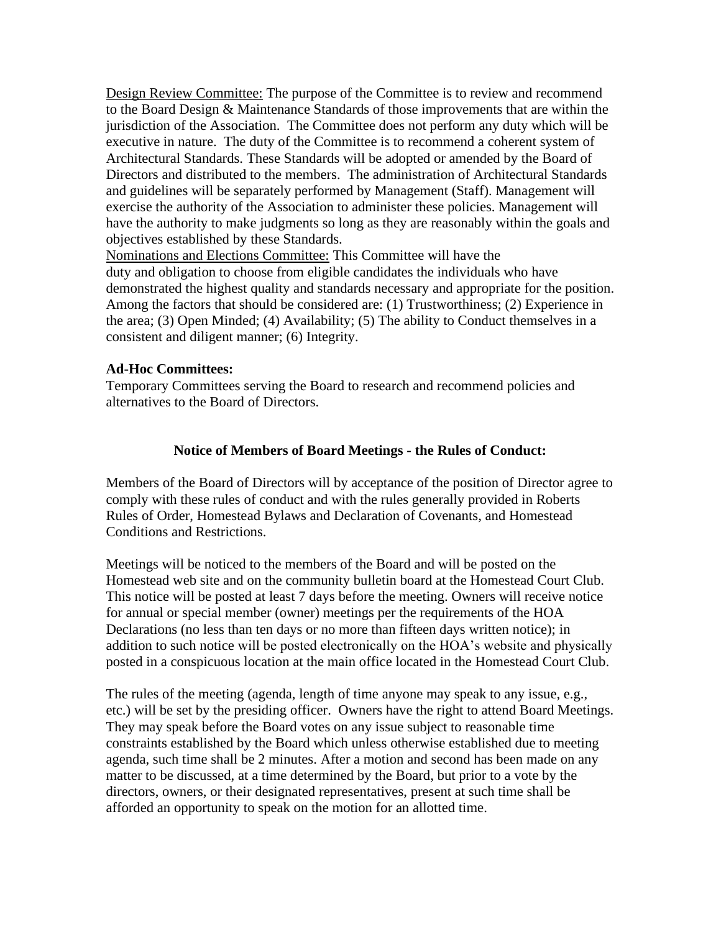Design Review Committee: The purpose of the Committee is to review and recommend to the Board Design & Maintenance Standards of those improvements that are within the jurisdiction of the Association. The Committee does not perform any duty which will be executive in nature. The duty of the Committee is to recommend a coherent system of Architectural Standards. These Standards will be adopted or amended by the Board of Directors and distributed to the members. The administration of Architectural Standards and guidelines will be separately performed by Management (Staff). Management will exercise the authority of the Association to administer these policies. Management will have the authority to make judgments so long as they are reasonably within the goals and objectives established by these Standards.

Nominations and Elections Committee: This Committee will have the duty and obligation to choose from eligible candidates the individuals who have demonstrated the highest quality and standards necessary and appropriate for the position. Among the factors that should be considered are: (1) Trustworthiness; (2) Experience in the area; (3) Open Minded; (4) Availability; (5) The ability to Conduct themselves in a consistent and diligent manner; (6) Integrity.

#### **Ad-Hoc Committees:**

Temporary Committees serving the Board to research and recommend policies and alternatives to the Board of Directors.

#### **Notice of Members of Board Meetings - the Rules of Conduct:**

Members of the Board of Directors will by acceptance of the position of Director agree to comply with these rules of conduct and with the rules generally provided in Roberts Rules of Order, Homestead Bylaws and Declaration of Covenants, and Homestead Conditions and Restrictions.

Meetings will be noticed to the members of the Board and will be posted on the Homestead web site and on the community bulletin board at the Homestead Court Club. This notice will be posted at least 7 days before the meeting. Owners will receive notice for annual or special member (owner) meetings per the requirements of the HOA Declarations (no less than ten days or no more than fifteen days written notice); in addition to such notice will be posted electronically on the HOA's website and physically posted in a conspicuous location at the main office located in the Homestead Court Club.

The rules of the meeting (agenda, length of time anyone may speak to any issue, e.g., etc.) will be set by the presiding officer. Owners have the right to attend Board Meetings. They may speak before the Board votes on any issue subject to reasonable time constraints established by the Board which unless otherwise established due to meeting agenda, such time shall be 2 minutes. After a motion and second has been made on any matter to be discussed, at a time determined by the Board, but prior to a vote by the directors, owners, or their designated representatives, present at such time shall be afforded an opportunity to speak on the motion for an allotted time.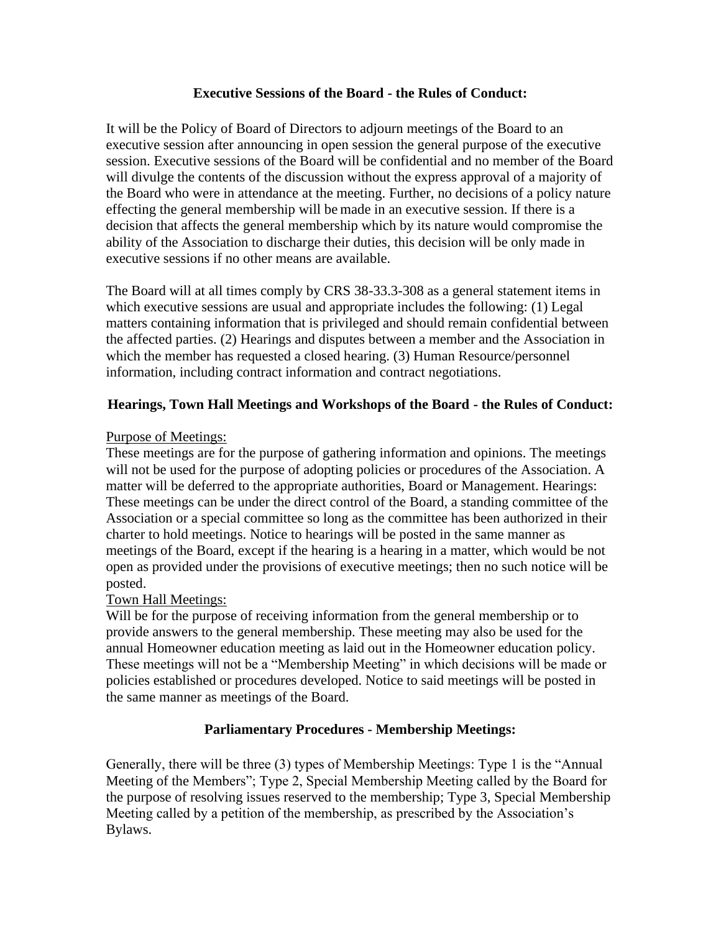### **Executive Sessions of the Board - the Rules of Conduct:**

It will be the Policy of Board of Directors to adjourn meetings of the Board to an executive session after announcing in open session the general purpose of the executive session. Executive sessions of the Board will be confidential and no member of the Board will divulge the contents of the discussion without the express approval of a majority of the Board who were in attendance at the meeting. Further, no decisions of a policy nature effecting the general membership will be made in an executive session. If there is a decision that affects the general membership which by its nature would compromise the ability of the Association to discharge their duties, this decision will be only made in executive sessions if no other means are available.

The Board will at all times comply by CRS 38-33.3-308 as a general statement items in which executive sessions are usual and appropriate includes the following: (1) Legal matters containing information that is privileged and should remain confidential between the affected parties. (2) Hearings and disputes between a member and the Association in which the member has requested a closed hearing. (3) Human Resource/personnel information, including contract information and contract negotiations.

## **Hearings, Town Hall Meetings and Workshops of the Board - the Rules of Conduct:**

## Purpose of Meetings:

These meetings are for the purpose of gathering information and opinions. The meetings will not be used for the purpose of adopting policies or procedures of the Association. A matter will be deferred to the appropriate authorities, Board or Management. Hearings: These meetings can be under the direct control of the Board, a standing committee of the Association or a special committee so long as the committee has been authorized in their charter to hold meetings. Notice to hearings will be posted in the same manner as meetings of the Board, except if the hearing is a hearing in a matter, which would be not open as provided under the provisions of executive meetings; then no such notice will be posted.

## Town Hall Meetings:

Will be for the purpose of receiving information from the general membership or to provide answers to the general membership. These meeting may also be used for the annual Homeowner education meeting as laid out in the Homeowner education policy. These meetings will not be a "Membership Meeting" in which decisions will be made or policies established or procedures developed. Notice to said meetings will be posted in the same manner as meetings of the Board.

# **Parliamentary Procedures - Membership Meetings:**

Generally, there will be three (3) types of Membership Meetings: Type 1 is the "Annual Meeting of the Members"; Type 2, Special Membership Meeting called by the Board for the purpose of resolving issues reserved to the membership; Type 3, Special Membership Meeting called by a petition of the membership, as prescribed by the Association's Bylaws.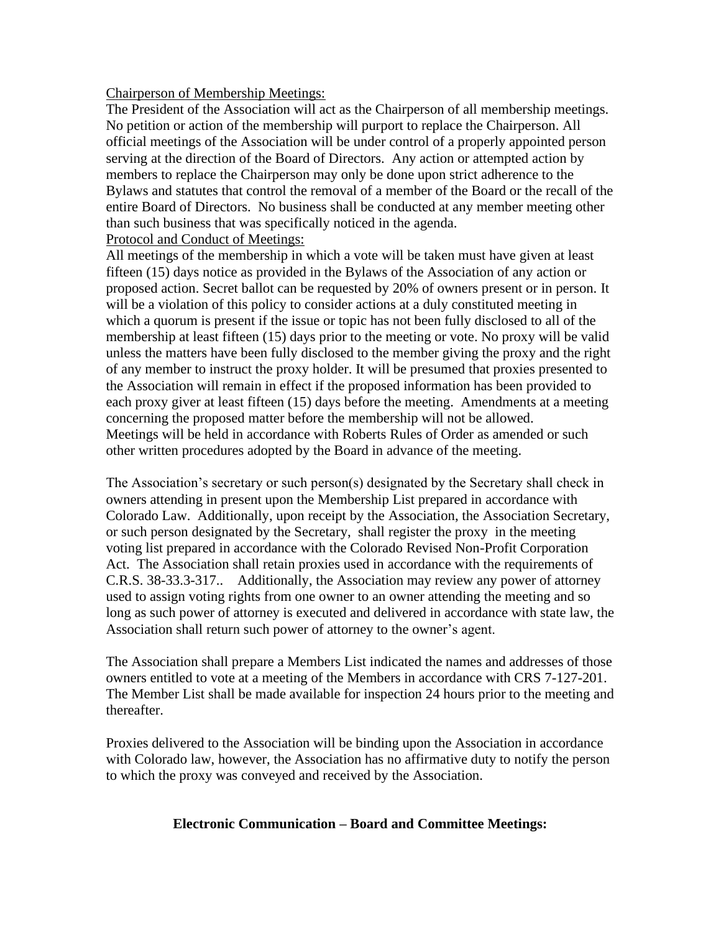#### Chairperson of Membership Meetings:

The President of the Association will act as the Chairperson of all membership meetings. No petition or action of the membership will purport to replace the Chairperson. All official meetings of the Association will be under control of a properly appointed person serving at the direction of the Board of Directors. Any action or attempted action by members to replace the Chairperson may only be done upon strict adherence to the Bylaws and statutes that control the removal of a member of the Board or the recall of the entire Board of Directors. No business shall be conducted at any member meeting other than such business that was specifically noticed in the agenda.

### Protocol and Conduct of Meetings:

All meetings of the membership in which a vote will be taken must have given at least fifteen (15) days notice as provided in the Bylaws of the Association of any action or proposed action. Secret ballot can be requested by 20% of owners present or in person. It will be a violation of this policy to consider actions at a duly constituted meeting in which a quorum is present if the issue or topic has not been fully disclosed to all of the membership at least fifteen (15) days prior to the meeting or vote. No proxy will be valid unless the matters have been fully disclosed to the member giving the proxy and the right of any member to instruct the proxy holder. It will be presumed that proxies presented to the Association will remain in effect if the proposed information has been provided to each proxy giver at least fifteen (15) days before the meeting. Amendments at a meeting concerning the proposed matter before the membership will not be allowed. Meetings will be held in accordance with Roberts Rules of Order as amended or such other written procedures adopted by the Board in advance of the meeting.

The Association's secretary or such person(s) designated by the Secretary shall check in owners attending in present upon the Membership List prepared in accordance with Colorado Law. Additionally, upon receipt by the Association, the Association Secretary, or such person designated by the Secretary, shall register the proxy in the meeting voting list prepared in accordance with the Colorado Revised Non-Profit Corporation Act. The Association shall retain proxies used in accordance with the requirements of C.R.S. 38-33.3-317.. Additionally, the Association may review any power of attorney used to assign voting rights from one owner to an owner attending the meeting and so long as such power of attorney is executed and delivered in accordance with state law, the Association shall return such power of attorney to the owner's agent.

The Association shall prepare a Members List indicated the names and addresses of those owners entitled to vote at a meeting of the Members in accordance with CRS 7-127-201. The Member List shall be made available for inspection 24 hours prior to the meeting and thereafter.

Proxies delivered to the Association will be binding upon the Association in accordance with Colorado law, however, the Association has no affirmative duty to notify the person to which the proxy was conveyed and received by the Association.

## **Electronic Communication – Board and Committee Meetings:**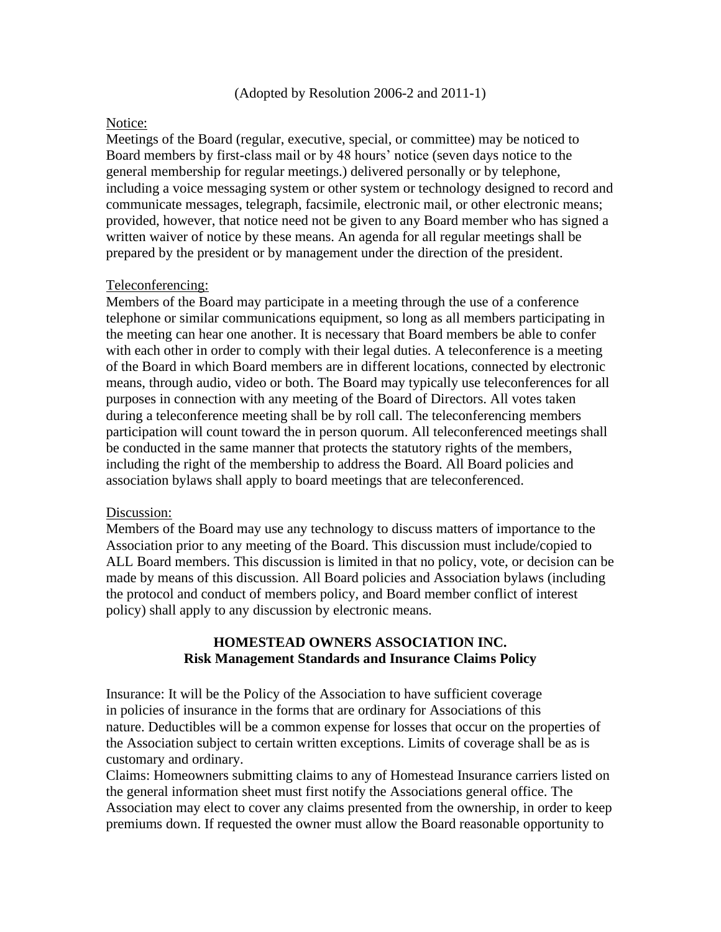#### (Adopted by Resolution 2006-2 and 2011-1)

#### Notice:

Meetings of the Board (regular, executive, special, or committee) may be noticed to Board members by first-class mail or by 48 hours' notice (seven days notice to the general membership for regular meetings.) delivered personally or by telephone, including a voice messaging system or other system or technology designed to record and communicate messages, telegraph, facsimile, electronic mail, or other electronic means; provided, however, that notice need not be given to any Board member who has signed a written waiver of notice by these means. An agenda for all regular meetings shall be prepared by the president or by management under the direction of the president.

### Teleconferencing:

Members of the Board may participate in a meeting through the use of a conference telephone or similar communications equipment, so long as all members participating in the meeting can hear one another. It is necessary that Board members be able to confer with each other in order to comply with their legal duties. A teleconference is a meeting of the Board in which Board members are in different locations, connected by electronic means, through audio, video or both. The Board may typically use teleconferences for all purposes in connection with any meeting of the Board of Directors. All votes taken during a teleconference meeting shall be by roll call. The teleconferencing members participation will count toward the in person quorum. All teleconferenced meetings shall be conducted in the same manner that protects the statutory rights of the members, including the right of the membership to address the Board. All Board policies and association bylaws shall apply to board meetings that are teleconferenced.

#### Discussion:

Members of the Board may use any technology to discuss matters of importance to the Association prior to any meeting of the Board. This discussion must include/copied to ALL Board members. This discussion is limited in that no policy, vote, or decision can be made by means of this discussion. All Board policies and Association bylaws (including the protocol and conduct of members policy, and Board member conflict of interest policy) shall apply to any discussion by electronic means.

### **HOMESTEAD OWNERS ASSOCIATION INC. Risk Management Standards and Insurance Claims Policy**

Insurance: It will be the Policy of the Association to have sufficient coverage in policies of insurance in the forms that are ordinary for Associations of this nature. Deductibles will be a common expense for losses that occur on the properties of the Association subject to certain written exceptions. Limits of coverage shall be as is customary and ordinary.

Claims: Homeowners submitting claims to any of Homestead Insurance carriers listed on the general information sheet must first notify the Associations general office. The Association may elect to cover any claims presented from the ownership, in order to keep premiums down. If requested the owner must allow the Board reasonable opportunity to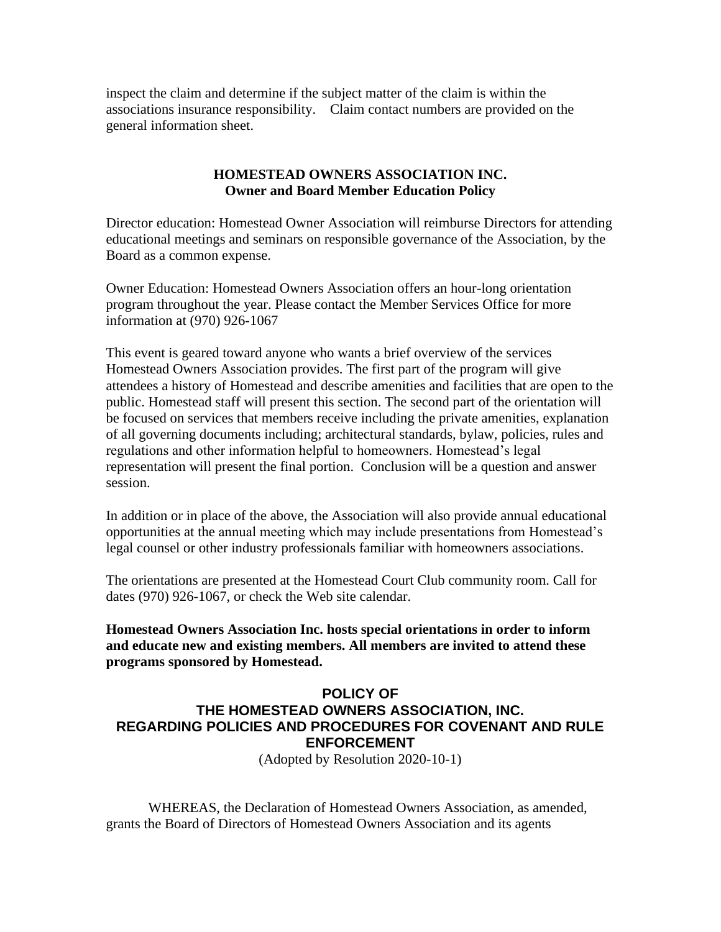inspect the claim and determine if the subject matter of the claim is within the associations insurance responsibility. Claim contact numbers are provided on the general information sheet.

### **HOMESTEAD OWNERS ASSOCIATION INC. Owner and Board Member Education Policy**

Director education: Homestead Owner Association will reimburse Directors for attending educational meetings and seminars on responsible governance of the Association, by the Board as a common expense.

Owner Education: Homestead Owners Association offers an hour-long orientation program throughout the year. Please contact the Member Services Office for more information at (970) 926-1067

This event is geared toward anyone who wants a brief overview of the services Homestead Owners Association provides. The first part of the program will give attendees a history of Homestead and describe amenities and facilities that are open to the public. Homestead staff will present this section. The second part of the orientation will be focused on services that members receive including the private amenities, explanation of all governing documents including; architectural standards, bylaw, policies, rules and regulations and other information helpful to homeowners. Homestead's legal representation will present the final portion. Conclusion will be a question and answer session.

In addition or in place of the above, the Association will also provide annual educational opportunities at the annual meeting which may include presentations from Homestead's legal counsel or other industry professionals familiar with homeowners associations.

The orientations are presented at the Homestead Court Club community room. Call for dates (970) 926-1067, or check the Web site calendar.

**Homestead Owners Association Inc. hosts special orientations in order to inform and educate new and existing members. All members are invited to attend these programs sponsored by Homestead.**

## **POLICY OF THE HOMESTEAD OWNERS ASSOCIATION, INC. REGARDING POLICIES AND PROCEDURES FOR COVENANT AND RULE ENFORCEMENT**

(Adopted by Resolution 2020-10-1)

WHEREAS, the Declaration of Homestead Owners Association, as amended, grants the Board of Directors of Homestead Owners Association and its agents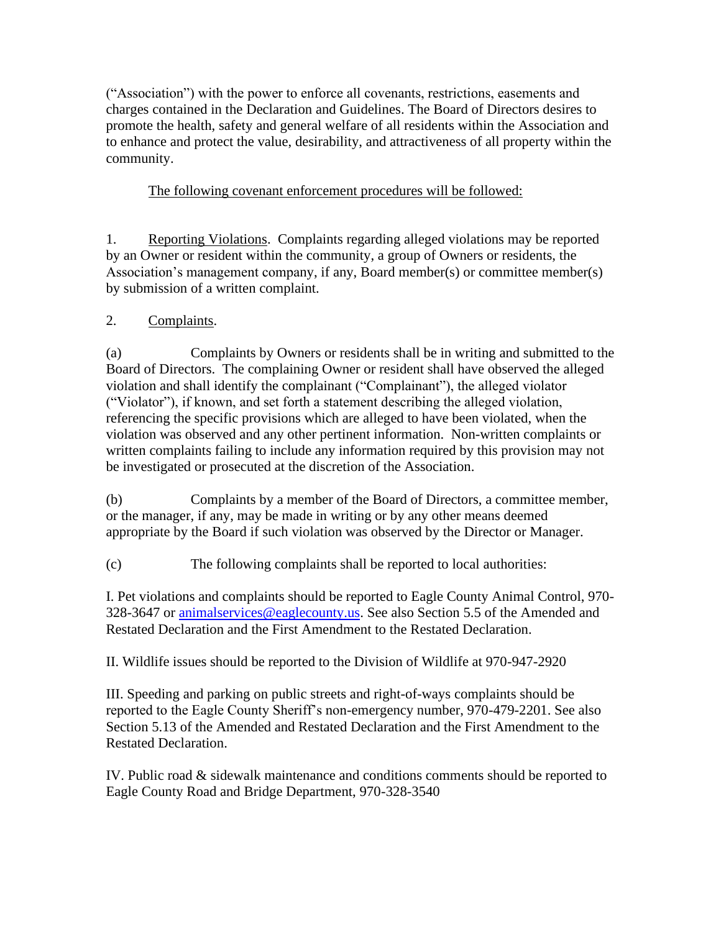("Association") with the power to enforce all covenants, restrictions, easements and charges contained in the Declaration and Guidelines. The Board of Directors desires to promote the health, safety and general welfare of all residents within the Association and to enhance and protect the value, desirability, and attractiveness of all property within the community.

# The following covenant enforcement procedures will be followed:

1. Reporting Violations. Complaints regarding alleged violations may be reported by an Owner or resident within the community, a group of Owners or residents, the Association's management company, if any, Board member(s) or committee member(s) by submission of a written complaint.

# 2. Complaints.

(a) Complaints by Owners or residents shall be in writing and submitted to the Board of Directors. The complaining Owner or resident shall have observed the alleged violation and shall identify the complainant ("Complainant"), the alleged violator ("Violator"), if known, and set forth a statement describing the alleged violation, referencing the specific provisions which are alleged to have been violated, when the violation was observed and any other pertinent information. Non-written complaints or written complaints failing to include any information required by this provision may not be investigated or prosecuted at the discretion of the Association.

(b) Complaints by a member of the Board of Directors, a committee member, or the manager, if any, may be made in writing or by any other means deemed appropriate by the Board if such violation was observed by the Director or Manager.

(c) The following complaints shall be reported to local authorities:

I. Pet violations and complaints should be reported to Eagle County Animal Control, 970- 328-3647 or [animalservices@eaglecounty.us.](mailto:animalservices@eaglecounty.us) See also Section 5.5 of the Amended and Restated Declaration and the First Amendment to the Restated Declaration.

II. Wildlife issues should be reported to the Division of Wildlife at 970-947-2920

III. Speeding and parking on public streets and right-of-ways complaints should be reported to the Eagle County Sheriff's non-emergency number, 970-479-2201. See also Section 5.13 of the Amended and Restated Declaration and the First Amendment to the Restated Declaration.

IV. Public road & sidewalk maintenance and conditions comments should be reported to Eagle County Road and Bridge Department, 970-328-3540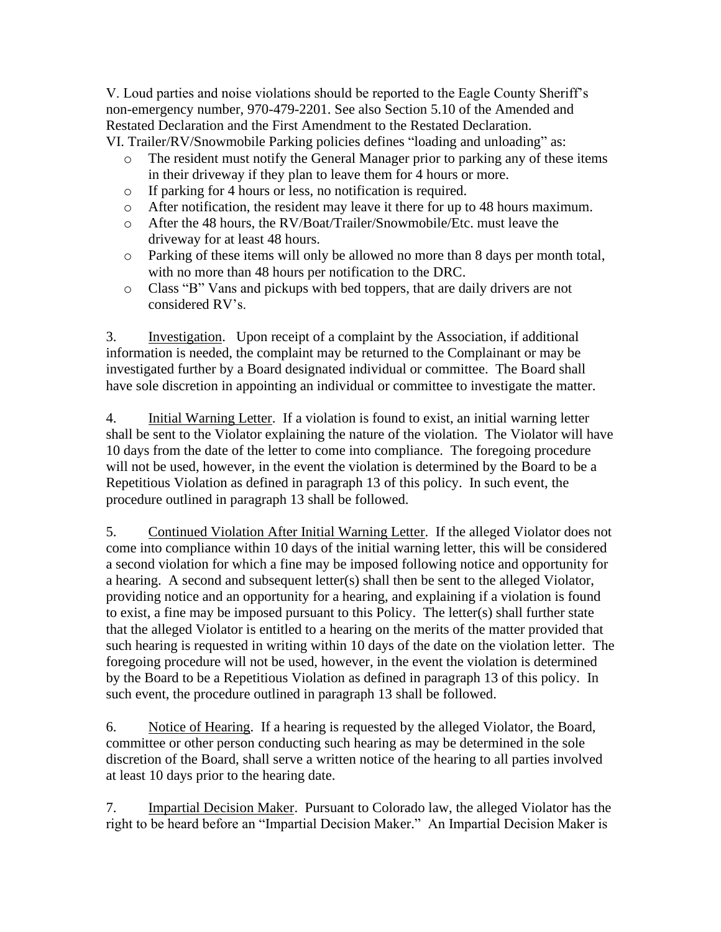V. Loud parties and noise violations should be reported to the Eagle County Sheriff's non-emergency number, 970-479-2201. See also Section 5.10 of the Amended and Restated Declaration and the First Amendment to the Restated Declaration. VI. Trailer/RV/Snowmobile Parking policies defines "loading and unloading" as:

- o The resident must notify the General Manager prior to parking any of these items in their driveway if they plan to leave them for 4 hours or more.
- o If parking for 4 hours or less, no notification is required.
- o After notification, the resident may leave it there for up to 48 hours maximum.
- o After the 48 hours, the RV/Boat/Trailer/Snowmobile/Etc. must leave the driveway for at least 48 hours.
- o Parking of these items will only be allowed no more than 8 days per month total, with no more than 48 hours per notification to the DRC.
- o Class "B" Vans and pickups with bed toppers, that are daily drivers are not considered RV's.

3. Investigation. Upon receipt of a complaint by the Association, if additional information is needed, the complaint may be returned to the Complainant or may be investigated further by a Board designated individual or committee. The Board shall have sole discretion in appointing an individual or committee to investigate the matter.

4. Initial Warning Letter. If a violation is found to exist, an initial warning letter shall be sent to the Violator explaining the nature of the violation. The Violator will have 10 days from the date of the letter to come into compliance. The foregoing procedure will not be used, however, in the event the violation is determined by the Board to be a Repetitious Violation as defined in paragraph 13 of this policy. In such event, the procedure outlined in paragraph 13 shall be followed.

5. Continued Violation After Initial Warning Letter. If the alleged Violator does not come into compliance within 10 days of the initial warning letter, this will be considered a second violation for which a fine may be imposed following notice and opportunity for a hearing. A second and subsequent letter(s) shall then be sent to the alleged Violator, providing notice and an opportunity for a hearing, and explaining if a violation is found to exist, a fine may be imposed pursuant to this Policy. The letter(s) shall further state that the alleged Violator is entitled to a hearing on the merits of the matter provided that such hearing is requested in writing within 10 days of the date on the violation letter. The foregoing procedure will not be used, however, in the event the violation is determined by the Board to be a Repetitious Violation as defined in paragraph 13 of this policy. In such event, the procedure outlined in paragraph 13 shall be followed.

6. Notice of Hearing. If a hearing is requested by the alleged Violator, the Board, committee or other person conducting such hearing as may be determined in the sole discretion of the Board, shall serve a written notice of the hearing to all parties involved at least 10 days prior to the hearing date.

7. Impartial Decision Maker. Pursuant to Colorado law, the alleged Violator has the right to be heard before an "Impartial Decision Maker." An Impartial Decision Maker is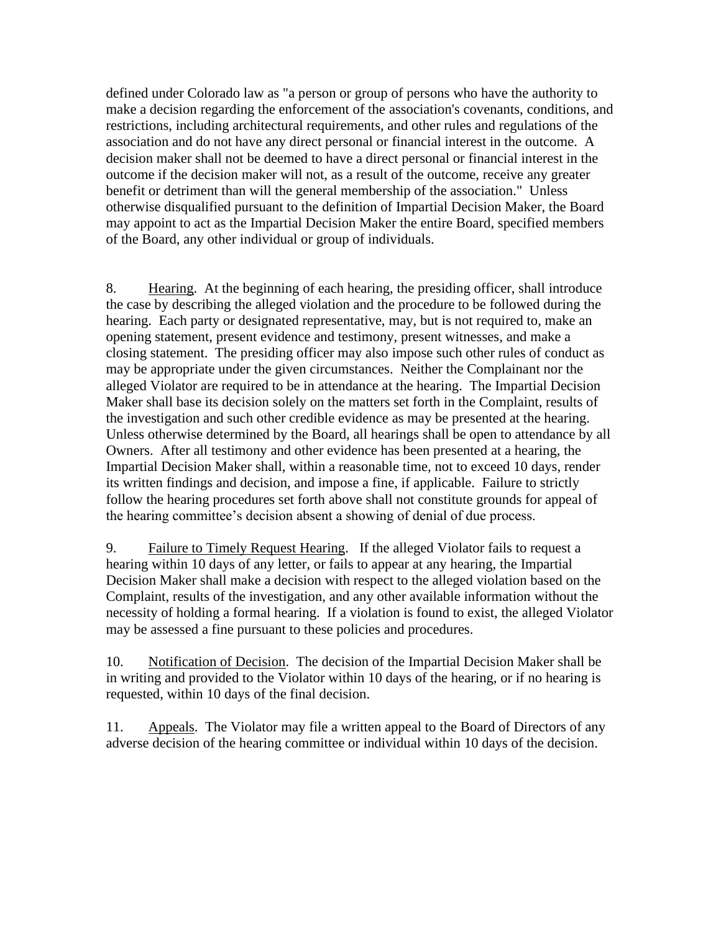defined under Colorado law as "a person or group of persons who have the authority to make a decision regarding the enforcement of the association's covenants, conditions, and restrictions, including architectural requirements, and other rules and regulations of the association and do not have any direct personal or financial interest in the outcome. A decision maker shall not be deemed to have a direct personal or financial interest in the outcome if the decision maker will not, as a result of the outcome, receive any greater benefit or detriment than will the general membership of the association." Unless otherwise disqualified pursuant to the definition of Impartial Decision Maker, the Board may appoint to act as the Impartial Decision Maker the entire Board, specified members of the Board, any other individual or group of individuals.

8. Hearing. At the beginning of each hearing, the presiding officer, shall introduce the case by describing the alleged violation and the procedure to be followed during the hearing. Each party or designated representative, may, but is not required to, make an opening statement, present evidence and testimony, present witnesses, and make a closing statement. The presiding officer may also impose such other rules of conduct as may be appropriate under the given circumstances. Neither the Complainant nor the alleged Violator are required to be in attendance at the hearing. The Impartial Decision Maker shall base its decision solely on the matters set forth in the Complaint, results of the investigation and such other credible evidence as may be presented at the hearing. Unless otherwise determined by the Board, all hearings shall be open to attendance by all Owners. After all testimony and other evidence has been presented at a hearing, the Impartial Decision Maker shall, within a reasonable time, not to exceed 10 days, render its written findings and decision, and impose a fine, if applicable. Failure to strictly follow the hearing procedures set forth above shall not constitute grounds for appeal of the hearing committee's decision absent a showing of denial of due process.

9. Failure to Timely Request Hearing. If the alleged Violator fails to request a hearing within 10 days of any letter, or fails to appear at any hearing, the Impartial Decision Maker shall make a decision with respect to the alleged violation based on the Complaint, results of the investigation, and any other available information without the necessity of holding a formal hearing. If a violation is found to exist, the alleged Violator may be assessed a fine pursuant to these policies and procedures.

10. Notification of Decision. The decision of the Impartial Decision Maker shall be in writing and provided to the Violator within 10 days of the hearing, or if no hearing is requested, within 10 days of the final decision.

11. Appeals. The Violator may file a written appeal to the Board of Directors of any adverse decision of the hearing committee or individual within 10 days of the decision.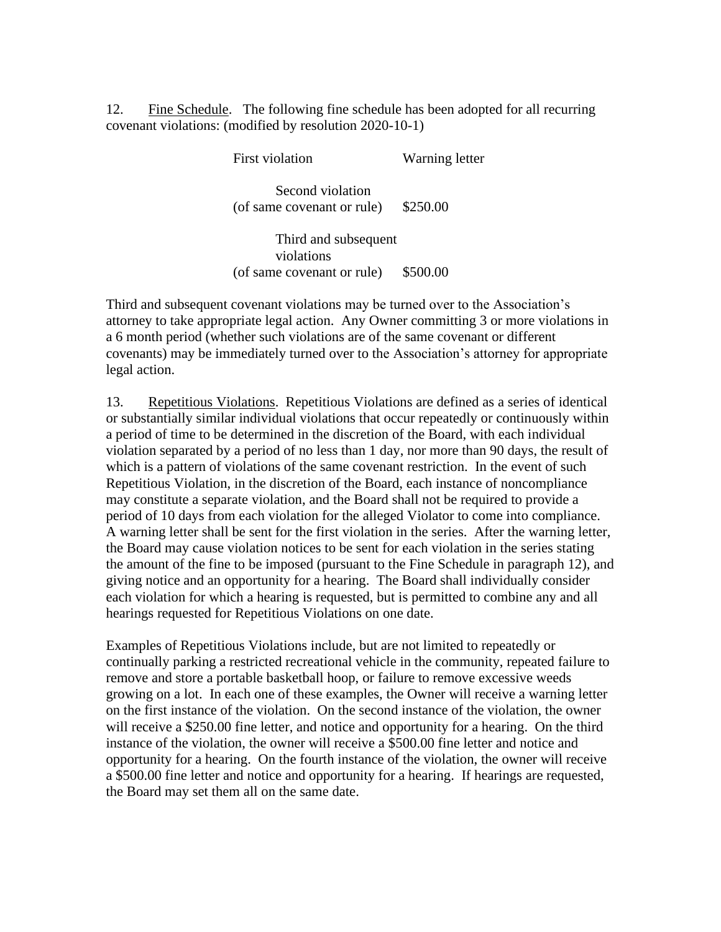12. Fine Schedule. The following fine schedule has been adopted for all recurring covenant violations: (modified by resolution 2020-10-1)

First violation Warning letter

Second violation (of same covenant or rule) \$250.00

Third and subsequent violations (of same covenant or rule) \$500.00

Third and subsequent covenant violations may be turned over to the Association's attorney to take appropriate legal action. Any Owner committing 3 or more violations in a 6 month period (whether such violations are of the same covenant or different covenants) may be immediately turned over to the Association's attorney for appropriate legal action.

13. Repetitious Violations. Repetitious Violations are defined as a series of identical or substantially similar individual violations that occur repeatedly or continuously within a period of time to be determined in the discretion of the Board, with each individual violation separated by a period of no less than 1 day, nor more than 90 days, the result of which is a pattern of violations of the same covenant restriction. In the event of such Repetitious Violation, in the discretion of the Board, each instance of noncompliance may constitute a separate violation, and the Board shall not be required to provide a period of 10 days from each violation for the alleged Violator to come into compliance. A warning letter shall be sent for the first violation in the series. After the warning letter, the Board may cause violation notices to be sent for each violation in the series stating the amount of the fine to be imposed (pursuant to the Fine Schedule in paragraph 12), and giving notice and an opportunity for a hearing. The Board shall individually consider each violation for which a hearing is requested, but is permitted to combine any and all hearings requested for Repetitious Violations on one date.

Examples of Repetitious Violations include, but are not limited to repeatedly or continually parking a restricted recreational vehicle in the community, repeated failure to remove and store a portable basketball hoop, or failure to remove excessive weeds growing on a lot. In each one of these examples, the Owner will receive a warning letter on the first instance of the violation. On the second instance of the violation, the owner will receive a \$250.00 fine letter, and notice and opportunity for a hearing. On the third instance of the violation, the owner will receive a \$500.00 fine letter and notice and opportunity for a hearing. On the fourth instance of the violation, the owner will receive a \$500.00 fine letter and notice and opportunity for a hearing. If hearings are requested, the Board may set them all on the same date.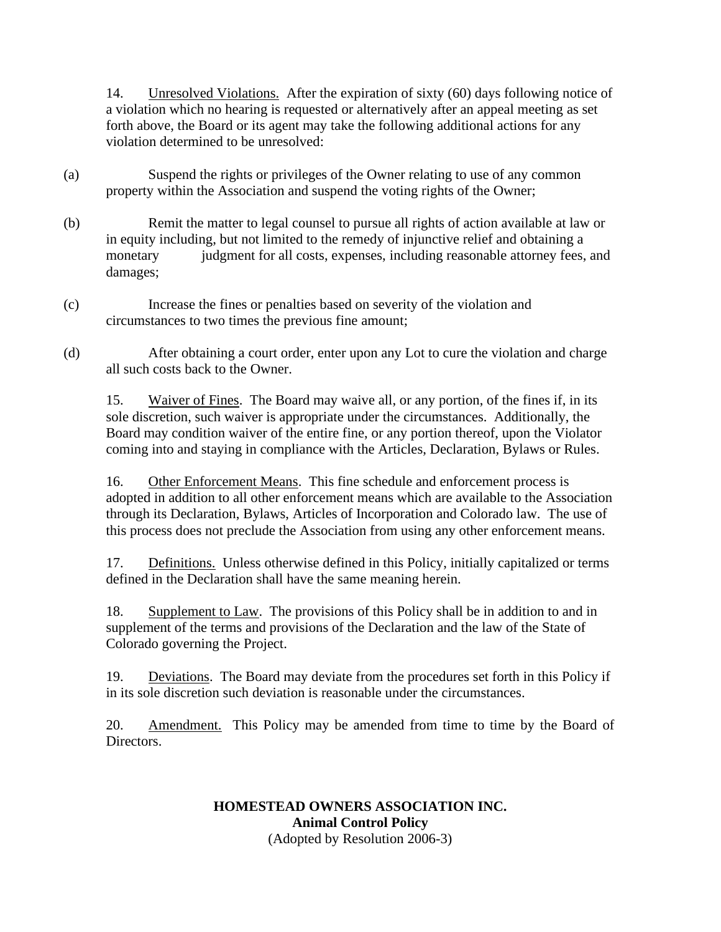14. Unresolved Violations. After the expiration of sixty (60) days following notice of a violation which no hearing is requested or alternatively after an appeal meeting as set forth above, the Board or its agent may take the following additional actions for any violation determined to be unresolved:

- (a) Suspend the rights or privileges of the Owner relating to use of any common property within the Association and suspend the voting rights of the Owner;
- (b) Remit the matter to legal counsel to pursue all rights of action available at law or in equity including, but not limited to the remedy of injunctive relief and obtaining a monetary judgment for all costs, expenses, including reasonable attorney fees, and damages;
- (c) Increase the fines or penalties based on severity of the violation and circumstances to two times the previous fine amount;
- (d) After obtaining a court order, enter upon any Lot to cure the violation and charge all such costs back to the Owner.

15. Waiver of Fines. The Board may waive all, or any portion, of the fines if, in its sole discretion, such waiver is appropriate under the circumstances. Additionally, the Board may condition waiver of the entire fine, or any portion thereof, upon the Violator coming into and staying in compliance with the Articles, Declaration, Bylaws or Rules.

16. Other Enforcement Means. This fine schedule and enforcement process is adopted in addition to all other enforcement means which are available to the Association through its Declaration, Bylaws, Articles of Incorporation and Colorado law. The use of this process does not preclude the Association from using any other enforcement means.

17. Definitions. Unless otherwise defined in this Policy, initially capitalized or terms defined in the Declaration shall have the same meaning herein.

18. Supplement to Law. The provisions of this Policy shall be in addition to and in supplement of the terms and provisions of the Declaration and the law of the State of Colorado governing the Project.

19. Deviations. The Board may deviate from the procedures set forth in this Policy if in its sole discretion such deviation is reasonable under the circumstances.

20. Amendment. This Policy may be amended from time to time by the Board of Directors.

## **HOMESTEAD OWNERS ASSOCIATION INC. Animal Control Policy** (Adopted by Resolution 2006-3)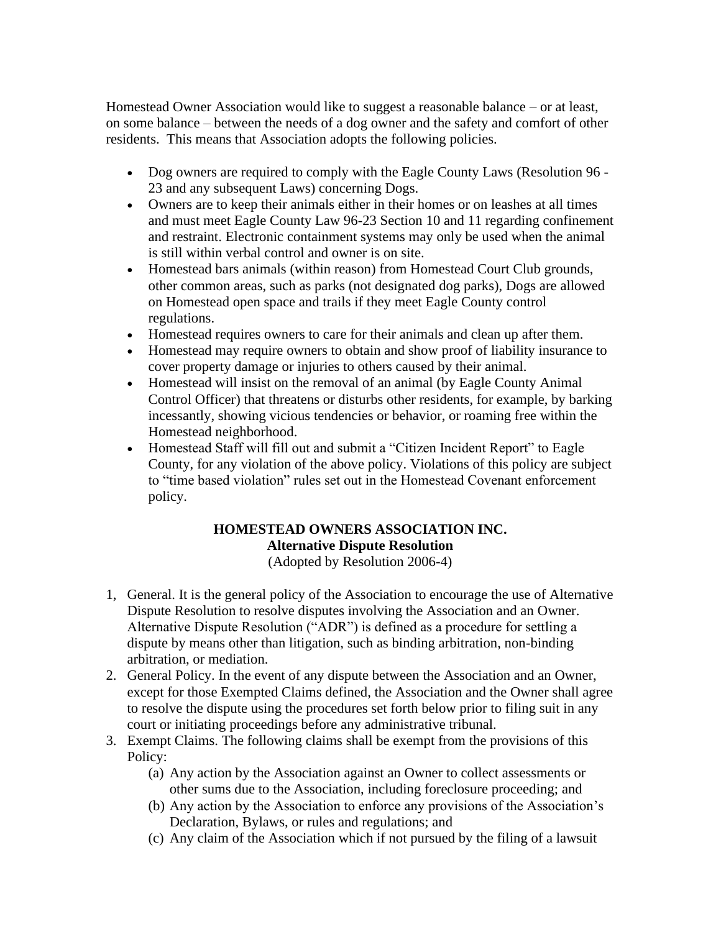Homestead Owner Association would like to suggest a reasonable balance – or at least, on some balance – between the needs of a dog owner and the safety and comfort of other residents. This means that Association adopts the following policies.

- Dog owners are required to comply with the Eagle County Laws (Resolution 96 23 and any subsequent Laws) concerning Dogs.
- Owners are to keep their animals either in their homes or on leashes at all times and must meet Eagle County Law 96-23 Section 10 and 11 regarding confinement and restraint. Electronic containment systems may only be used when the animal is still within verbal control and owner is on site.
- Homestead bars animals (within reason) from Homestead Court Club grounds, other common areas, such as parks (not designated dog parks), Dogs are allowed on Homestead open space and trails if they meet Eagle County control regulations.
- Homestead requires owners to care for their animals and clean up after them.
- Homestead may require owners to obtain and show proof of liability insurance to cover property damage or injuries to others caused by their animal.
- Homestead will insist on the removal of an animal (by Eagle County Animal Control Officer) that threatens or disturbs other residents, for example, by barking incessantly, showing vicious tendencies or behavior, or roaming free within the Homestead neighborhood.
- Homestead Staff will fill out and submit a "Citizen Incident Report" to Eagle County, for any violation of the above policy. Violations of this policy are subject to "time based violation" rules set out in the Homestead Covenant enforcement policy.

# **HOMESTEAD OWNERS ASSOCIATION INC. Alternative Dispute Resolution**

(Adopted by Resolution 2006-4)

- 1, General. It is the general policy of the Association to encourage the use of Alternative Dispute Resolution to resolve disputes involving the Association and an Owner. Alternative Dispute Resolution ("ADR") is defined as a procedure for settling a dispute by means other than litigation, such as binding arbitration, non-binding arbitration, or mediation.
- 2. General Policy. In the event of any dispute between the Association and an Owner, except for those Exempted Claims defined, the Association and the Owner shall agree to resolve the dispute using the procedures set forth below prior to filing suit in any court or initiating proceedings before any administrative tribunal.
- 3. Exempt Claims. The following claims shall be exempt from the provisions of this Policy:
	- (a) Any action by the Association against an Owner to collect assessments or other sums due to the Association, including foreclosure proceeding; and
	- (b) Any action by the Association to enforce any provisions of the Association's Declaration, Bylaws, or rules and regulations; and
	- (c) Any claim of the Association which if not pursued by the filing of a lawsuit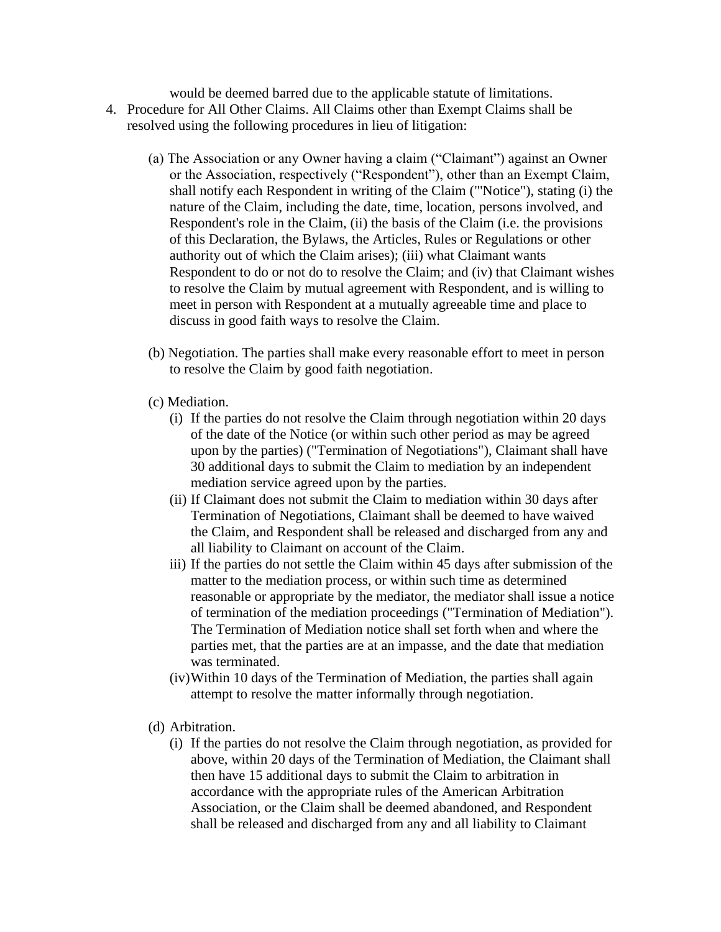would be deemed barred due to the applicable statute of limitations. 4. Procedure for All Other Claims. All Claims other than Exempt Claims shall be resolved using the following procedures in lieu of litigation:

- (a) The Association or any Owner having a claim ("Claimant") against an Owner or the Association, respectively ("Respondent"), other than an Exempt Claim, shall notify each Respondent in writing of the Claim ("'Notice"), stating (i) the nature of the Claim, including the date, time, location, persons involved, and Respondent's role in the Claim, (ii) the basis of the Claim (i.e. the provisions of this Declaration, the Bylaws, the Articles, Rules or Regulations or other authority out of which the Claim arises); (iii) what Claimant wants Respondent to do or not do to resolve the Claim; and (iv) that Claimant wishes to resolve the Claim by mutual agreement with Respondent, and is willing to meet in person with Respondent at a mutually agreeable time and place to discuss in good faith ways to resolve the Claim.
- (b) Negotiation. The parties shall make every reasonable effort to meet in person to resolve the Claim by good faith negotiation.
- (c) Mediation.
	- (i) If the parties do not resolve the Claim through negotiation within 20 days of the date of the Notice (or within such other period as may be agreed upon by the parties) ("Termination of Negotiations"), Claimant shall have 30 additional days to submit the Claim to mediation by an independent mediation service agreed upon by the parties.
	- (ii) If Claimant does not submit the Claim to mediation within 30 days after Termination of Negotiations, Claimant shall be deemed to have waived the Claim, and Respondent shall be released and discharged from any and all liability to Claimant on account of the Claim.
	- iii) If the parties do not settle the Claim within 45 days after submission of the matter to the mediation process, or within such time as determined reasonable or appropriate by the mediator, the mediator shall issue a notice of termination of the mediation proceedings ("Termination of Mediation"). The Termination of Mediation notice shall set forth when and where the parties met, that the parties are at an impasse, and the date that mediation was terminated.
	- (iv)Within 10 days of the Termination of Mediation, the parties shall again attempt to resolve the matter informally through negotiation.
- (d) Arbitration.
	- (i) If the parties do not resolve the Claim through negotiation, as provided for above, within 20 days of the Termination of Mediation, the Claimant shall then have 15 additional days to submit the Claim to arbitration in accordance with the appropriate rules of the American Arbitration Association, or the Claim shall be deemed abandoned, and Respondent shall be released and discharged from any and all liability to Claimant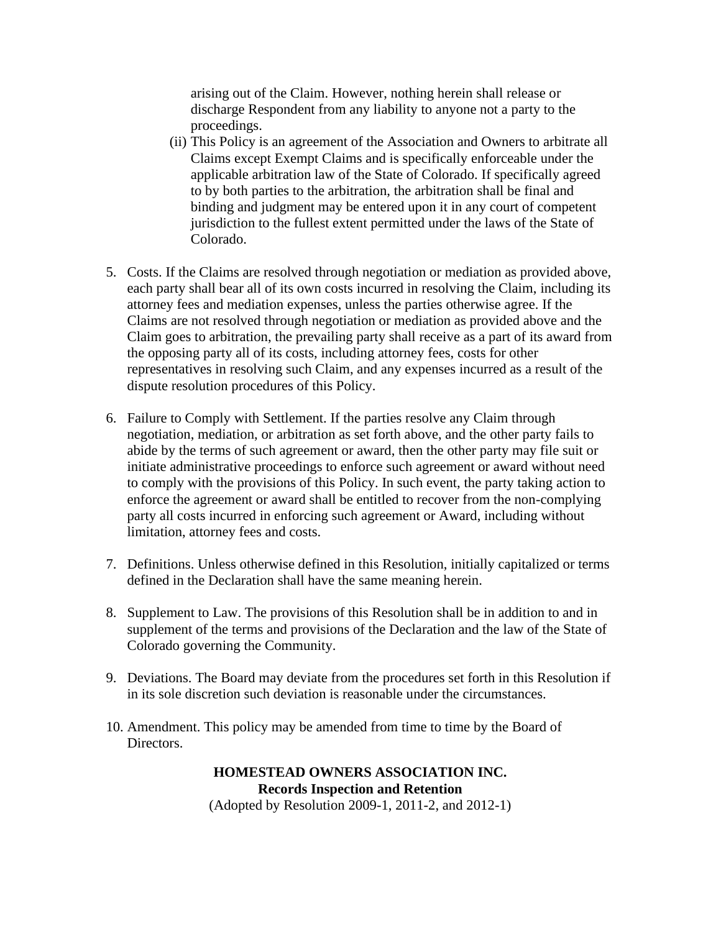arising out of the Claim. However, nothing herein shall release or discharge Respondent from any liability to anyone not a party to the proceedings.

- (ii) This Policy is an agreement of the Association and Owners to arbitrate all Claims except Exempt Claims and is specifically enforceable under the applicable arbitration law of the State of Colorado. If specifically agreed to by both parties to the arbitration, the arbitration shall be final and binding and judgment may be entered upon it in any court of competent jurisdiction to the fullest extent permitted under the laws of the State of Colorado.
- 5. Costs. If the Claims are resolved through negotiation or mediation as provided above, each party shall bear all of its own costs incurred in resolving the Claim, including its attorney fees and mediation expenses, unless the parties otherwise agree. If the Claims are not resolved through negotiation or mediation as provided above and the Claim goes to arbitration, the prevailing party shall receive as a part of its award from the opposing party all of its costs, including attorney fees, costs for other representatives in resolving such Claim, and any expenses incurred as a result of the dispute resolution procedures of this Policy.
- 6. Failure to Comply with Settlement. If the parties resolve any Claim through negotiation, mediation, or arbitration as set forth above, and the other party fails to abide by the terms of such agreement or award, then the other party may file suit or initiate administrative proceedings to enforce such agreement or award without need to comply with the provisions of this Policy. In such event, the party taking action to enforce the agreement or award shall be entitled to recover from the non-complying party all costs incurred in enforcing such agreement or Award, including without limitation, attorney fees and costs.
- 7. Definitions. Unless otherwise defined in this Resolution, initially capitalized or terms defined in the Declaration shall have the same meaning herein.
- 8. Supplement to Law. The provisions of this Resolution shall be in addition to and in supplement of the terms and provisions of the Declaration and the law of the State of Colorado governing the Community.
- 9. Deviations. The Board may deviate from the procedures set forth in this Resolution if in its sole discretion such deviation is reasonable under the circumstances.
- 10. Amendment. This policy may be amended from time to time by the Board of Directors.

**HOMESTEAD OWNERS ASSOCIATION INC. Records Inspection and Retention** (Adopted by Resolution 2009-1, 2011-2, and 2012-1)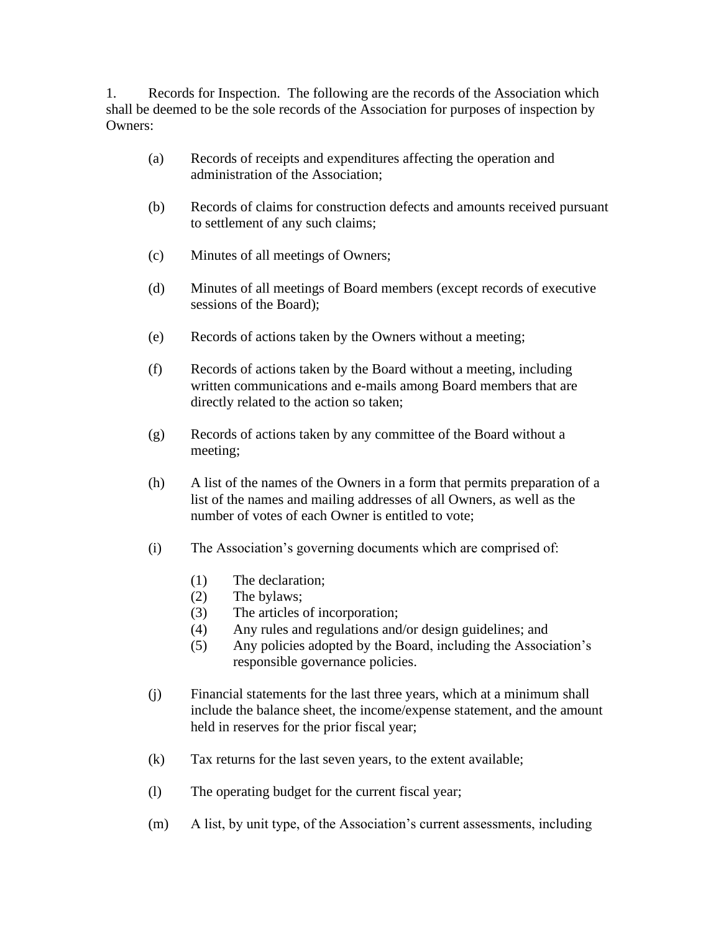1. Records for Inspection. The following are the records of the Association which shall be deemed to be the sole records of the Association for purposes of inspection by Owners:

- (a) Records of receipts and expenditures affecting the operation and administration of the Association;
- (b) Records of claims for construction defects and amounts received pursuant to settlement of any such claims;
- (c) Minutes of all meetings of Owners;
- (d) Minutes of all meetings of Board members (except records of executive sessions of the Board);
- (e) Records of actions taken by the Owners without a meeting;
- (f) Records of actions taken by the Board without a meeting, including written communications and e-mails among Board members that are directly related to the action so taken;
- (g) Records of actions taken by any committee of the Board without a meeting;
- (h) A list of the names of the Owners in a form that permits preparation of a list of the names and mailing addresses of all Owners, as well as the number of votes of each Owner is entitled to vote;
- (i) The Association's governing documents which are comprised of:
	- (1) The declaration;
	- (2) The bylaws;
	- (3) The articles of incorporation;
	- (4) Any rules and regulations and/or design guidelines; and
	- (5) Any policies adopted by the Board, including the Association's responsible governance policies.
- (j) Financial statements for the last three years, which at a minimum shall include the balance sheet, the income/expense statement, and the amount held in reserves for the prior fiscal year;
- (k) Tax returns for the last seven years, to the extent available;
- (l) The operating budget for the current fiscal year;
- (m) A list, by unit type, of the Association's current assessments, including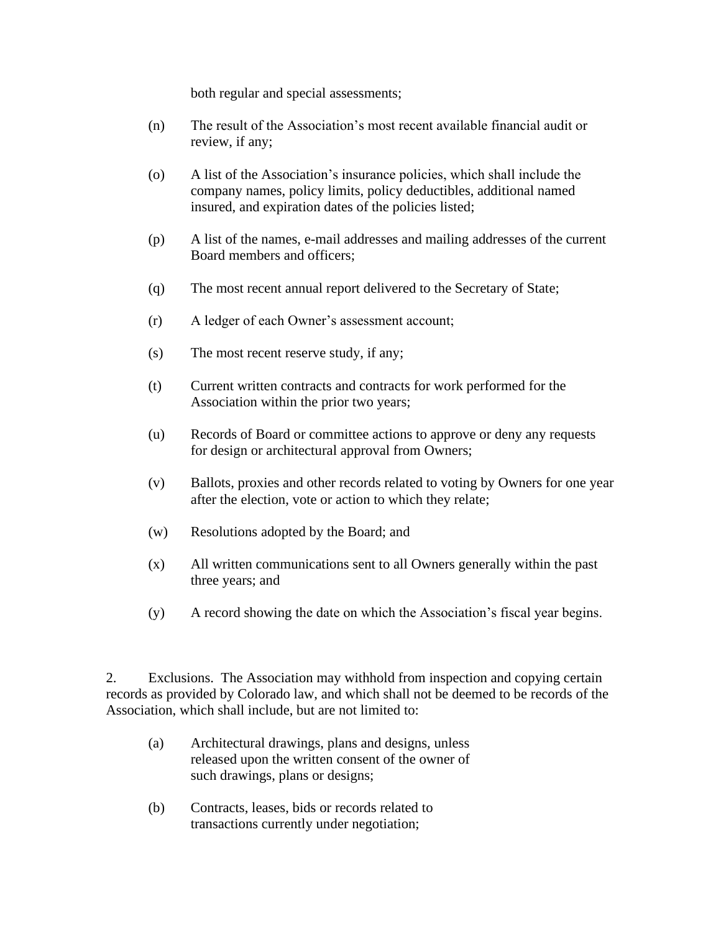both regular and special assessments;

- (n) The result of the Association's most recent available financial audit or review, if any;
- (o) A list of the Association's insurance policies, which shall include the company names, policy limits, policy deductibles, additional named insured, and expiration dates of the policies listed;
- (p) A list of the names, e-mail addresses and mailing addresses of the current Board members and officers;
- (q) The most recent annual report delivered to the Secretary of State;
- (r) A ledger of each Owner's assessment account;
- (s) The most recent reserve study, if any;
- (t) Current written contracts and contracts for work performed for the Association within the prior two years;
- (u) Records of Board or committee actions to approve or deny any requests for design or architectural approval from Owners;
- (v) Ballots, proxies and other records related to voting by Owners for one year after the election, vote or action to which they relate;
- (w) Resolutions adopted by the Board; and
- (x) All written communications sent to all Owners generally within the past three years; and
- (y) A record showing the date on which the Association's fiscal year begins.

2. Exclusions. The Association may withhold from inspection and copying certain records as provided by Colorado law, and which shall not be deemed to be records of the Association, which shall include, but are not limited to:

- (a) Architectural drawings, plans and designs, unless released upon the written consent of the owner of such drawings, plans or designs;
- (b) Contracts, leases, bids or records related to transactions currently under negotiation;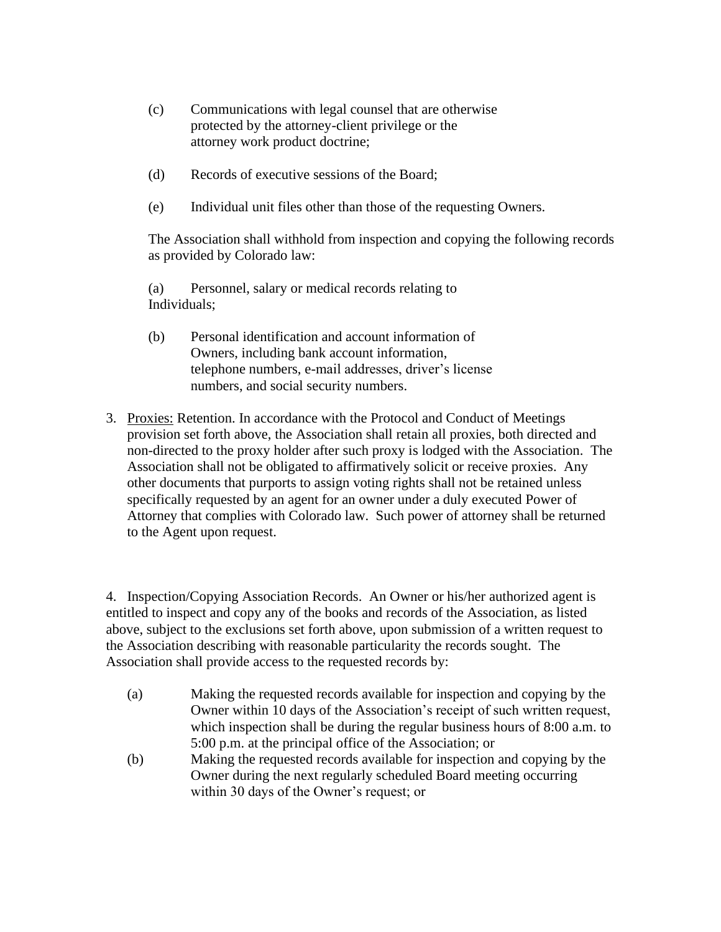- (c) Communications with legal counsel that are otherwise protected by the attorney-client privilege or the attorney work product doctrine;
- (d) Records of executive sessions of the Board;
- (e) Individual unit files other than those of the requesting Owners.

The Association shall withhold from inspection and copying the following records as provided by Colorado law:

(a) Personnel, salary or medical records relating to Individuals;

- (b) Personal identification and account information of Owners, including bank account information, telephone numbers, e-mail addresses, driver's license numbers, and social security numbers.
- 3. Proxies: Retention. In accordance with the Protocol and Conduct of Meetings provision set forth above, the Association shall retain all proxies, both directed and non-directed to the proxy holder after such proxy is lodged with the Association. The Association shall not be obligated to affirmatively solicit or receive proxies. Any other documents that purports to assign voting rights shall not be retained unless specifically requested by an agent for an owner under a duly executed Power of Attorney that complies with Colorado law. Such power of attorney shall be returned to the Agent upon request.

4. Inspection/Copying Association Records. An Owner or his/her authorized agent is entitled to inspect and copy any of the books and records of the Association, as listed above, subject to the exclusions set forth above, upon submission of a written request to the Association describing with reasonable particularity the records sought. The Association shall provide access to the requested records by:

- (a) Making the requested records available for inspection and copying by the Owner within 10 days of the Association's receipt of such written request, which inspection shall be during the regular business hours of 8:00 a.m. to 5:00 p.m. at the principal office of the Association; or
- (b) Making the requested records available for inspection and copying by the Owner during the next regularly scheduled Board meeting occurring within 30 days of the Owner's request; or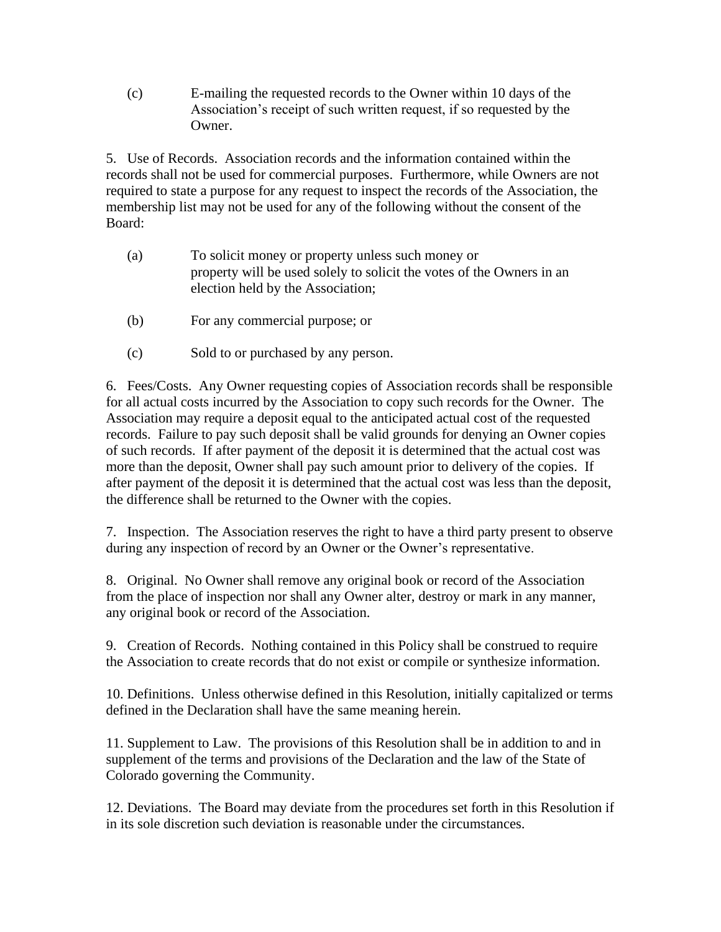(c) E-mailing the requested records to the Owner within 10 days of the Association's receipt of such written request, if so requested by the Owner.

5. Use of Records. Association records and the information contained within the records shall not be used for commercial purposes. Furthermore, while Owners are not required to state a purpose for any request to inspect the records of the Association, the membership list may not be used for any of the following without the consent of the Board:

- (a) To solicit money or property unless such money or property will be used solely to solicit the votes of the Owners in an election held by the Association;
- (b) For any commercial purpose; or
- (c) Sold to or purchased by any person.

6. Fees/Costs. Any Owner requesting copies of Association records shall be responsible for all actual costs incurred by the Association to copy such records for the Owner. The Association may require a deposit equal to the anticipated actual cost of the requested records. Failure to pay such deposit shall be valid grounds for denying an Owner copies of such records. If after payment of the deposit it is determined that the actual cost was more than the deposit, Owner shall pay such amount prior to delivery of the copies. If after payment of the deposit it is determined that the actual cost was less than the deposit, the difference shall be returned to the Owner with the copies.

7. Inspection. The Association reserves the right to have a third party present to observe during any inspection of record by an Owner or the Owner's representative.

8. Original. No Owner shall remove any original book or record of the Association from the place of inspection nor shall any Owner alter, destroy or mark in any manner, any original book or record of the Association.

9. Creation of Records. Nothing contained in this Policy shall be construed to require the Association to create records that do not exist or compile or synthesize information.

10. Definitions. Unless otherwise defined in this Resolution, initially capitalized or terms defined in the Declaration shall have the same meaning herein.

11. Supplement to Law. The provisions of this Resolution shall be in addition to and in supplement of the terms and provisions of the Declaration and the law of the State of Colorado governing the Community.

12. Deviations. The Board may deviate from the procedures set forth in this Resolution if in its sole discretion such deviation is reasonable under the circumstances.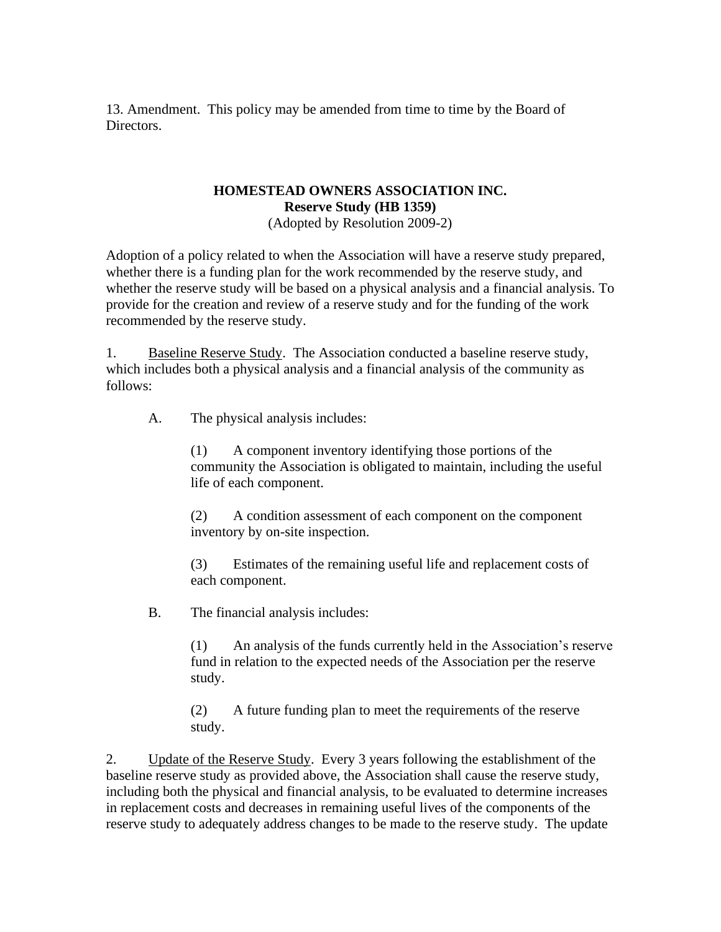13. Amendment. This policy may be amended from time to time by the Board of Directors.

# **HOMESTEAD OWNERS ASSOCIATION INC. Reserve Study (HB 1359)**

(Adopted by Resolution 2009-2)

Adoption of a policy related to when the Association will have a reserve study prepared, whether there is a funding plan for the work recommended by the reserve study, and whether the reserve study will be based on a physical analysis and a financial analysis. To provide for the creation and review of a reserve study and for the funding of the work recommended by the reserve study.

1. Baseline Reserve Study. The Association conducted a baseline reserve study, which includes both a physical analysis and a financial analysis of the community as follows:

A. The physical analysis includes:

(1) A component inventory identifying those portions of the community the Association is obligated to maintain, including the useful life of each component.

(2) A condition assessment of each component on the component inventory by on-site inspection.

(3) Estimates of the remaining useful life and replacement costs of each component.

B. The financial analysis includes:

(1) An analysis of the funds currently held in the Association's reserve fund in relation to the expected needs of the Association per the reserve study.

(2) A future funding plan to meet the requirements of the reserve study.

2. Update of the Reserve Study. Every 3 years following the establishment of the baseline reserve study as provided above, the Association shall cause the reserve study, including both the physical and financial analysis, to be evaluated to determine increases in replacement costs and decreases in remaining useful lives of the components of the reserve study to adequately address changes to be made to the reserve study. The update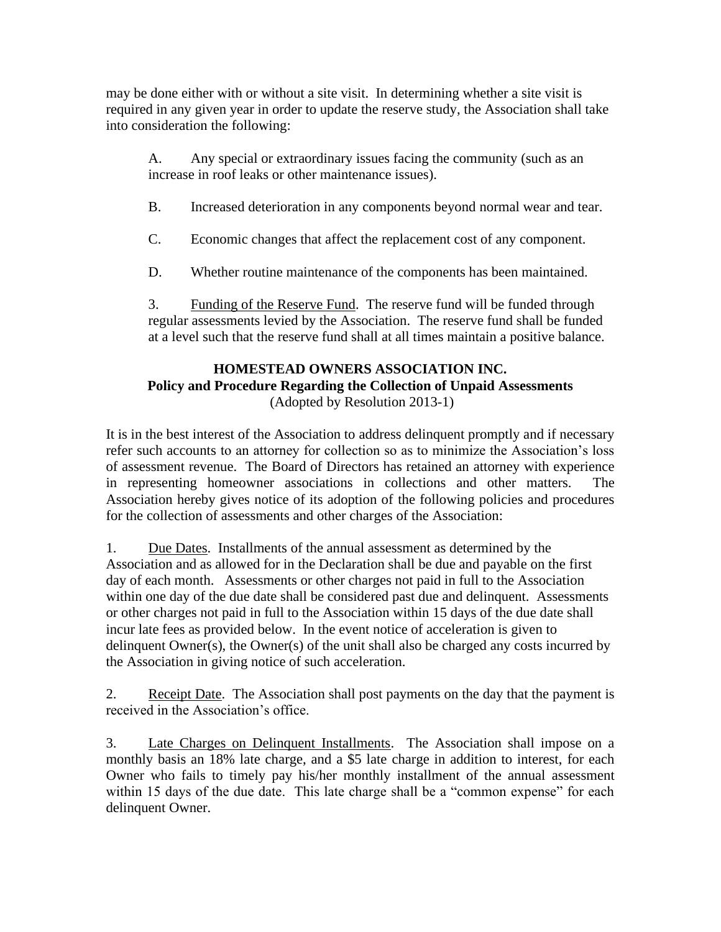may be done either with or without a site visit. In determining whether a site visit is required in any given year in order to update the reserve study, the Association shall take into consideration the following:

A. Any special or extraordinary issues facing the community (such as an increase in roof leaks or other maintenance issues).

B. Increased deterioration in any components beyond normal wear and tear.

C. Economic changes that affect the replacement cost of any component.

D. Whether routine maintenance of the components has been maintained.

3. Funding of the Reserve Fund. The reserve fund will be funded through regular assessments levied by the Association. The reserve fund shall be funded at a level such that the reserve fund shall at all times maintain a positive balance.

## **HOMESTEAD OWNERS ASSOCIATION INC. Policy and Procedure Regarding the Collection of Unpaid Assessments** (Adopted by Resolution 2013-1)

It is in the best interest of the Association to address delinquent promptly and if necessary refer such accounts to an attorney for collection so as to minimize the Association's loss of assessment revenue. The Board of Directors has retained an attorney with experience in representing homeowner associations in collections and other matters. The Association hereby gives notice of its adoption of the following policies and procedures for the collection of assessments and other charges of the Association:

1. Due Dates. Installments of the annual assessment as determined by the Association and as allowed for in the Declaration shall be due and payable on the first day of each month. Assessments or other charges not paid in full to the Association within one day of the due date shall be considered past due and delinquent. Assessments or other charges not paid in full to the Association within 15 days of the due date shall incur late fees as provided below. In the event notice of acceleration is given to delinquent Owner(s), the Owner(s) of the unit shall also be charged any costs incurred by the Association in giving notice of such acceleration.

2. Receipt Date. The Association shall post payments on the day that the payment is received in the Association's office.

3. Late Charges on Delinquent Installments. The Association shall impose on a monthly basis an 18% late charge, and a \$5 late charge in addition to interest, for each Owner who fails to timely pay his/her monthly installment of the annual assessment within 15 days of the due date. This late charge shall be a "common expense" for each delinquent Owner.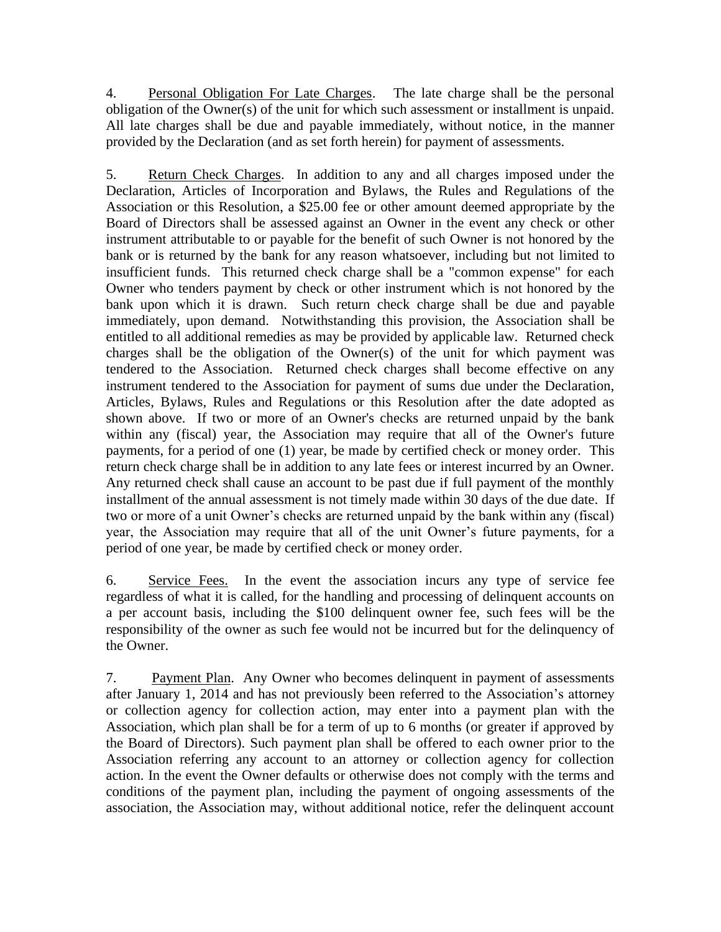4. Personal Obligation For Late Charges. The late charge shall be the personal obligation of the Owner(s) of the unit for which such assessment or installment is unpaid. All late charges shall be due and payable immediately, without notice, in the manner provided by the Declaration (and as set forth herein) for payment of assessments.

5. Return Check Charges. In addition to any and all charges imposed under the Declaration, Articles of Incorporation and Bylaws, the Rules and Regulations of the Association or this Resolution, a \$25.00 fee or other amount deemed appropriate by the Board of Directors shall be assessed against an Owner in the event any check or other instrument attributable to or payable for the benefit of such Owner is not honored by the bank or is returned by the bank for any reason whatsoever, including but not limited to insufficient funds. This returned check charge shall be a "common expense" for each Owner who tenders payment by check or other instrument which is not honored by the bank upon which it is drawn. Such return check charge shall be due and payable immediately, upon demand. Notwithstanding this provision, the Association shall be entitled to all additional remedies as may be provided by applicable law. Returned check charges shall be the obligation of the Owner(s) of the unit for which payment was tendered to the Association. Returned check charges shall become effective on any instrument tendered to the Association for payment of sums due under the Declaration, Articles, Bylaws, Rules and Regulations or this Resolution after the date adopted as shown above. If two or more of an Owner's checks are returned unpaid by the bank within any (fiscal) year, the Association may require that all of the Owner's future payments, for a period of one (1) year, be made by certified check or money order. This return check charge shall be in addition to any late fees or interest incurred by an Owner. Any returned check shall cause an account to be past due if full payment of the monthly installment of the annual assessment is not timely made within 30 days of the due date. If two or more of a unit Owner's checks are returned unpaid by the bank within any (fiscal) year, the Association may require that all of the unit Owner's future payments, for a period of one year, be made by certified check or money order.

6. Service Fees. In the event the association incurs any type of service fee regardless of what it is called, for the handling and processing of delinquent accounts on a per account basis, including the \$100 delinquent owner fee, such fees will be the responsibility of the owner as such fee would not be incurred but for the delinquency of the Owner.

7. Payment Plan. Any Owner who becomes delinquent in payment of assessments after January 1, 2014 and has not previously been referred to the Association's attorney or collection agency for collection action, may enter into a payment plan with the Association, which plan shall be for a term of up to 6 months (or greater if approved by the Board of Directors). Such payment plan shall be offered to each owner prior to the Association referring any account to an attorney or collection agency for collection action. In the event the Owner defaults or otherwise does not comply with the terms and conditions of the payment plan, including the payment of ongoing assessments of the association, the Association may, without additional notice, refer the delinquent account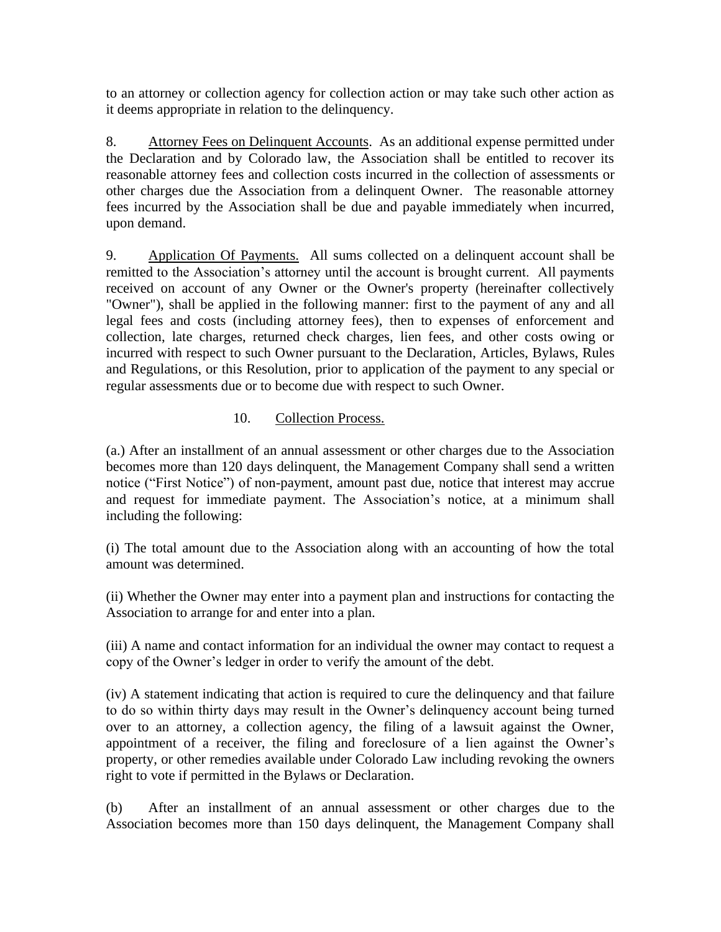to an attorney or collection agency for collection action or may take such other action as it deems appropriate in relation to the delinquency.

8. Attorney Fees on Delinquent Accounts. As an additional expense permitted under the Declaration and by Colorado law, the Association shall be entitled to recover its reasonable attorney fees and collection costs incurred in the collection of assessments or other charges due the Association from a delinquent Owner. The reasonable attorney fees incurred by the Association shall be due and payable immediately when incurred, upon demand.

9. Application Of Payments. All sums collected on a delinquent account shall be remitted to the Association's attorney until the account is brought current. All payments received on account of any Owner or the Owner's property (hereinafter collectively "Owner"), shall be applied in the following manner: first to the payment of any and all legal fees and costs (including attorney fees), then to expenses of enforcement and collection, late charges, returned check charges, lien fees, and other costs owing or incurred with respect to such Owner pursuant to the Declaration, Articles, Bylaws, Rules and Regulations, or this Resolution, prior to application of the payment to any special or regular assessments due or to become due with respect to such Owner.

## 10. Collection Process.

(a.) After an installment of an annual assessment or other charges due to the Association becomes more than 120 days delinquent, the Management Company shall send a written notice ("First Notice") of non-payment, amount past due, notice that interest may accrue and request for immediate payment. The Association's notice, at a minimum shall including the following:

(i) The total amount due to the Association along with an accounting of how the total amount was determined.

(ii) Whether the Owner may enter into a payment plan and instructions for contacting the Association to arrange for and enter into a plan.

(iii) A name and contact information for an individual the owner may contact to request a copy of the Owner's ledger in order to verify the amount of the debt.

(iv) A statement indicating that action is required to cure the delinquency and that failure to do so within thirty days may result in the Owner's delinquency account being turned over to an attorney, a collection agency, the filing of a lawsuit against the Owner, appointment of a receiver, the filing and foreclosure of a lien against the Owner's property, or other remedies available under Colorado Law including revoking the owners right to vote if permitted in the Bylaws or Declaration.

(b) After an installment of an annual assessment or other charges due to the Association becomes more than 150 days delinquent, the Management Company shall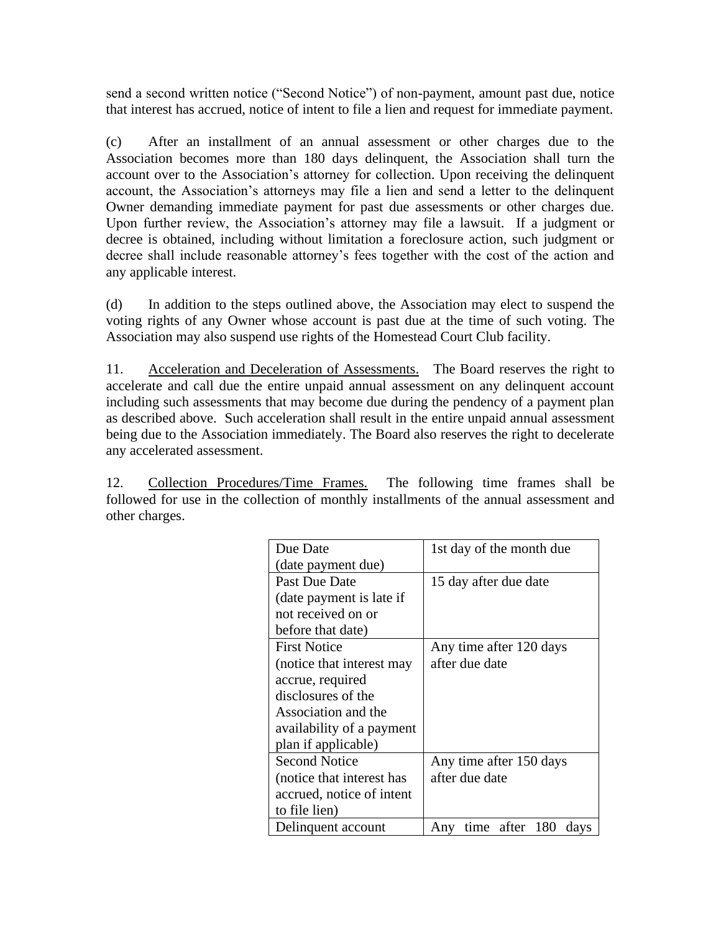send a second written notice ("Second Notice") of non-payment, amount past due, notice that interest has accrued, notice of intent to file a lien and request for immediate payment.

(c) After an installment of an annual assessment or other charges due to the Association becomes more than 180 days delinquent, the Association shall turn the account over to the Association's attorney for collection. Upon receiving the delinquent account, the Association's attorneys may file a lien and send a letter to the delinquent Owner demanding immediate payment for past due assessments or other charges due. Upon further review, the Association's attorney may file a lawsuit. If a judgment or decree is obtained, including without limitation a foreclosure action, such judgment or decree shall include reasonable attorney's fees together with the cost of the action and any applicable interest.

(d) In addition to the steps outlined above, the Association may elect to suspend the voting rights of any Owner whose account is past due at the time of such voting. The Association may also suspend use rights of the Homestead Court Club facility.

11. Acceleration and Deceleration of Assessments. The Board reserves the right to accelerate and call due the entire unpaid annual assessment on any delinquent account including such assessments that may become due during the pendency of a payment plan as described above. Such acceleration shall result in the entire unpaid annual assessment being due to the Association immediately. The Board also reserves the right to decelerate any accelerated assessment.

12. Collection Procedures/Time Frames. The following time frames shall be followed for use in the collection of monthly installments of the annual assessment and other charges.

| Due Date                  | 1st day of the month due      |
|---------------------------|-------------------------------|
| (date payment due)        |                               |
| Past Due Date             | 15 day after due date         |
| (date payment is late if  |                               |
| not received on or        |                               |
| before that date)         |                               |
| <b>First Notice</b>       | Any time after 120 days       |
| (notice that interest may | after due date                |
| accrue, required          |                               |
| disclosures of the        |                               |
| Association and the       |                               |
| availability of a payment |                               |
| plan if applicable)       |                               |
| <b>Second Notice</b>      | Any time after 150 days       |
| (notice that interest has | after due date                |
| accrued, notice of intent |                               |
| to file lien)             |                               |
| Delinquent account        | time after 180<br>Any<br>days |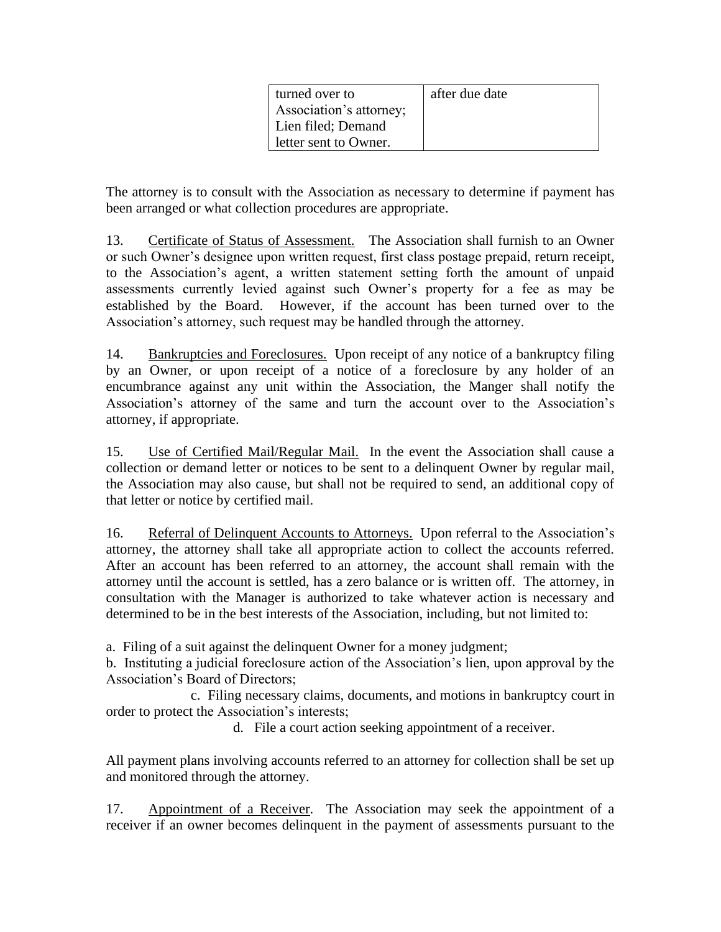| turned over to          | after due date |
|-------------------------|----------------|
| Association's attorney; |                |
| Lien filed; Demand      |                |
| letter sent to Owner.   |                |

The attorney is to consult with the Association as necessary to determine if payment has been arranged or what collection procedures are appropriate.

13. Certificate of Status of Assessment. The Association shall furnish to an Owner or such Owner's designee upon written request, first class postage prepaid, return receipt, to the Association's agent, a written statement setting forth the amount of unpaid assessments currently levied against such Owner's property for a fee as may be established by the Board. However, if the account has been turned over to the Association's attorney, such request may be handled through the attorney.

14. Bankruptcies and Foreclosures. Upon receipt of any notice of a bankruptcy filing by an Owner, or upon receipt of a notice of a foreclosure by any holder of an encumbrance against any unit within the Association, the Manger shall notify the Association's attorney of the same and turn the account over to the Association's attorney, if appropriate.

15. Use of Certified Mail/Regular Mail. In the event the Association shall cause a collection or demand letter or notices to be sent to a delinquent Owner by regular mail, the Association may also cause, but shall not be required to send, an additional copy of that letter or notice by certified mail.

16. Referral of Delinquent Accounts to Attorneys. Upon referral to the Association's attorney, the attorney shall take all appropriate action to collect the accounts referred. After an account has been referred to an attorney, the account shall remain with the attorney until the account is settled, has a zero balance or is written off. The attorney, in consultation with the Manager is authorized to take whatever action is necessary and determined to be in the best interests of the Association, including, but not limited to:

a. Filing of a suit against the delinquent Owner for a money judgment;

b. Instituting a judicial foreclosure action of the Association's lien, upon approval by the Association's Board of Directors;

c. Filing necessary claims, documents, and motions in bankruptcy court in order to protect the Association's interests;

d. File a court action seeking appointment of a receiver.

All payment plans involving accounts referred to an attorney for collection shall be set up and monitored through the attorney.

17. Appointment of a Receiver. The Association may seek the appointment of a receiver if an owner becomes delinquent in the payment of assessments pursuant to the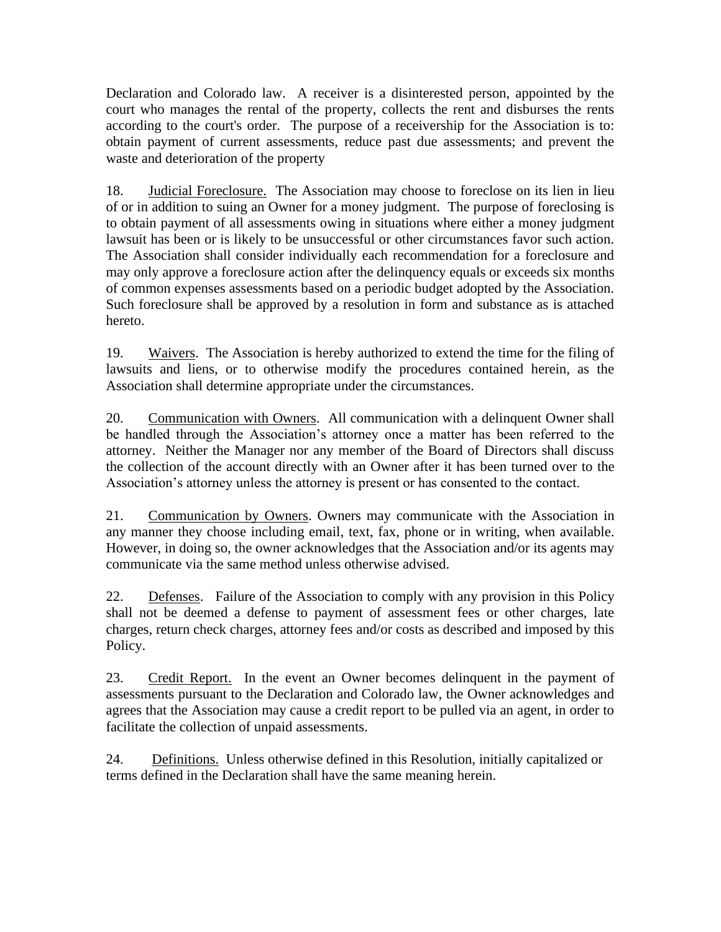Declaration and Colorado law. A receiver is a disinterested person, appointed by the court who manages the rental of the property, collects the rent and disburses the rents according to the court's order. The purpose of a receivership for the Association is to: obtain payment of current assessments, reduce past due assessments; and prevent the waste and deterioration of the property

18. Judicial Foreclosure. The Association may choose to foreclose on its lien in lieu of or in addition to suing an Owner for a money judgment. The purpose of foreclosing is to obtain payment of all assessments owing in situations where either a money judgment lawsuit has been or is likely to be unsuccessful or other circumstances favor such action. The Association shall consider individually each recommendation for a foreclosure and may only approve a foreclosure action after the delinquency equals or exceeds six months of common expenses assessments based on a periodic budget adopted by the Association. Such foreclosure shall be approved by a resolution in form and substance as is attached hereto.

19. Waivers. The Association is hereby authorized to extend the time for the filing of lawsuits and liens, or to otherwise modify the procedures contained herein, as the Association shall determine appropriate under the circumstances.

20. Communication with Owners. All communication with a delinquent Owner shall be handled through the Association's attorney once a matter has been referred to the attorney. Neither the Manager nor any member of the Board of Directors shall discuss the collection of the account directly with an Owner after it has been turned over to the Association's attorney unless the attorney is present or has consented to the contact.

21. Communication by Owners. Owners may communicate with the Association in any manner they choose including email, text, fax, phone or in writing, when available. However, in doing so, the owner acknowledges that the Association and/or its agents may communicate via the same method unless otherwise advised.

22. Defenses. Failure of the Association to comply with any provision in this Policy shall not be deemed a defense to payment of assessment fees or other charges, late charges, return check charges, attorney fees and/or costs as described and imposed by this Policy.

23. Credit Report. In the event an Owner becomes delinquent in the payment of assessments pursuant to the Declaration and Colorado law, the Owner acknowledges and agrees that the Association may cause a credit report to be pulled via an agent, in order to facilitate the collection of unpaid assessments.

24. Definitions. Unless otherwise defined in this Resolution, initially capitalized or terms defined in the Declaration shall have the same meaning herein.